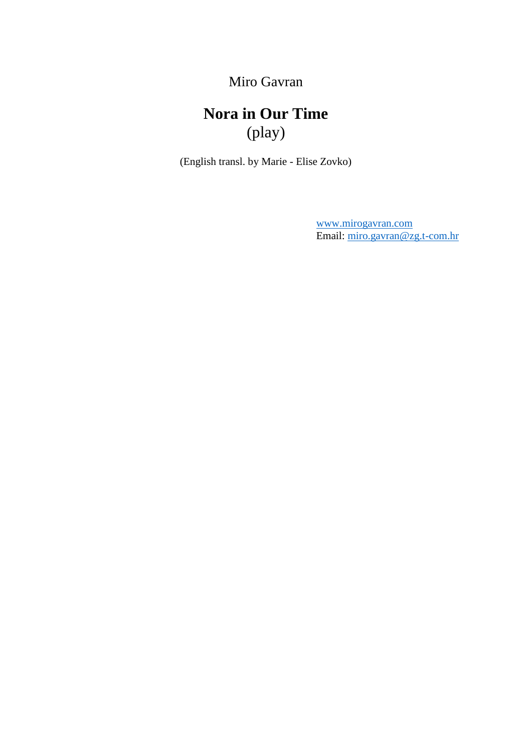Miro Gavran

# **Nora in Our Time** (play)

(English transl. by Marie - Elise Zovko)

[www.mirogavran.com](http://www.mirogavran.com/) Email: [miro.gavran@zg.t-com.hr](mailto:miro.gavran@zg.t-com.hr)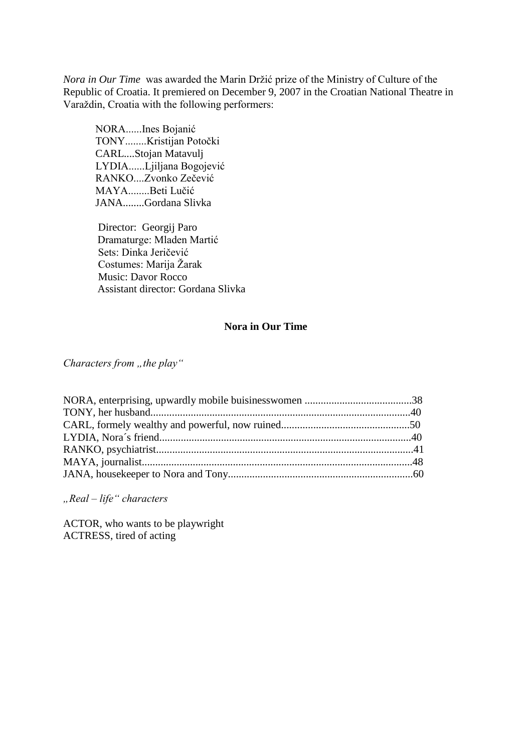*Nora in Our Time* was awarded the Marin Držić prize of the Ministry of Culture of the Republic of Croatia. It premiered on December 9, 2007 in the Croatian National Theatre in Varaždin, Croatia with the following performers:

 NORA......Ines Bojanić TONY........Kristijan Potočki CARL....Stojan Matavulj LYDIA......Ljiljana Bogojević RANKO....Zvonko Zečević MAYA........Beti Lučić JANA........Gordana Slivka

 Director: Georgij Paro Dramaturge: Mladen Martić Sets: Dinka Jeričević Costumes: Marija Žarak Music: Davor Rocco Assistant director: Gordana Slivka

### **Nora in Our Time**

# *Characters from "the play"*

*"Real – life" characters*

ACTOR, who wants to be playwright ACTRESS, tired of acting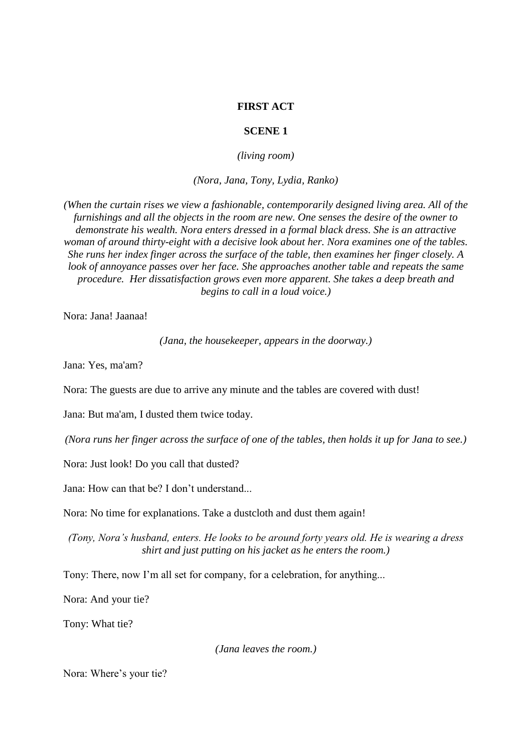### **FIRST ACT**

### **SCENE 1**

*(living room)*

*(Nora, Jana, Tony, Lydia, Ranko)*

*(When the curtain rises we view a fashionable, contemporarily designed living area. All of the furnishings and all the objects in the room are new. One senses the desire of the owner to demonstrate his wealth. Nora enters dressed in a formal black dress. She is an attractive woman of around thirty-eight with a decisive look about her. Nora examines one of the tables. She runs her index finger across the surface of the table, then examines her finger closely. A look of annoyance passes over her face. She approaches another table and repeats the same procedure. Her dissatisfaction grows even more apparent. She takes a deep breath and begins to call in a loud voice.)*

Nora: Jana! Jaanaa!

*(Jana, the housekeeper, appears in the doorway.)*

Jana: Yes, ma'am?

Nora: The guests are due to arrive any minute and the tables are covered with dust!

Jana: But ma'am, I dusted them twice today.

*(Nora runs her finger across the surface of one of the tables, then holds it up for Jana to see.)*

Nora: Just look! Do you call that dusted?

Jana: How can that be? I don't understand...

Nora: No time for explanations. Take a dustcloth and dust them again!

*(Tony, Nora's husband, enters. He looks to be around forty years old. He is wearing a dress shirt and just putting on his jacket as he enters the room.)*

Tony: There, now I'm all set for company, for a celebration, for anything...

Nora: And your tie?

Tony: What tie?

*(Jana leaves the room.)*

Nora: Where's your tie?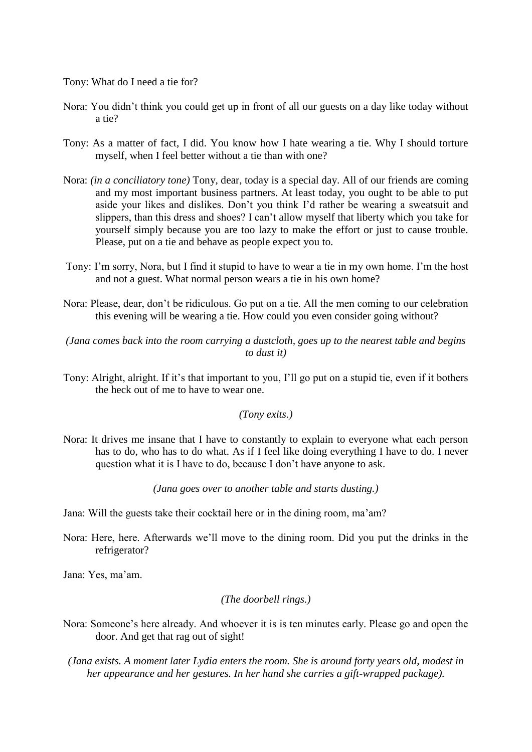Tony: What do I need a tie for?

- Nora: You didn't think you could get up in front of all our guests on a day like today without a tie?
- Tony: As a matter of fact, I did. You know how I hate wearing a tie. Why I should torture myself, when I feel better without a tie than with one?
- Nora: *(in a conciliatory tone)* Tony, dear, today is a special day. All of our friends are coming and my most important business partners. At least today, you ought to be able to put aside your likes and dislikes. Don't you think I'd rather be wearing a sweatsuit and slippers, than this dress and shoes? I can't allow myself that liberty which you take for yourself simply because you are too lazy to make the effort or just to cause trouble. Please, put on a tie and behave as people expect you to.
- Tony: I'm sorry, Nora, but I find it stupid to have to wear a tie in my own home. I'm the host and not a guest. What normal person wears a tie in his own home?
- Nora: Please, dear, don't be ridiculous. Go put on a tie. All the men coming to our celebration this evening will be wearing a tie. How could you even consider going without?

*(Jana comes back into the room carrying a dustcloth, goes up to the nearest table and begins to dust it)*

Tony: Alright, alright. If it's that important to you, I'll go put on a stupid tie, even if it bothers the heck out of me to have to wear one.

# *(Tony exits.)*

Nora: It drives me insane that I have to constantly to explain to everyone what each person has to do, who has to do what. As if I feel like doing everything I have to do. I never question what it is I have to do, because I don't have anyone to ask.

*(Jana goes over to another table and starts dusting.)*

Jana: Will the guests take their cocktail here or in the dining room, ma'am?

Nora: Here, here. Afterwards we'll move to the dining room. Did you put the drinks in the refrigerator?

Jana: Yes, ma'am.

# *(The doorbell rings.)*

- Nora: Someone's here already. And whoever it is is ten minutes early. Please go and open the door. And get that rag out of sight!
- *(Jana exists. A moment later Lydia enters the room. She is around forty years old, modest in her appearance and her gestures. In her hand she carries a gift-wrapped package).*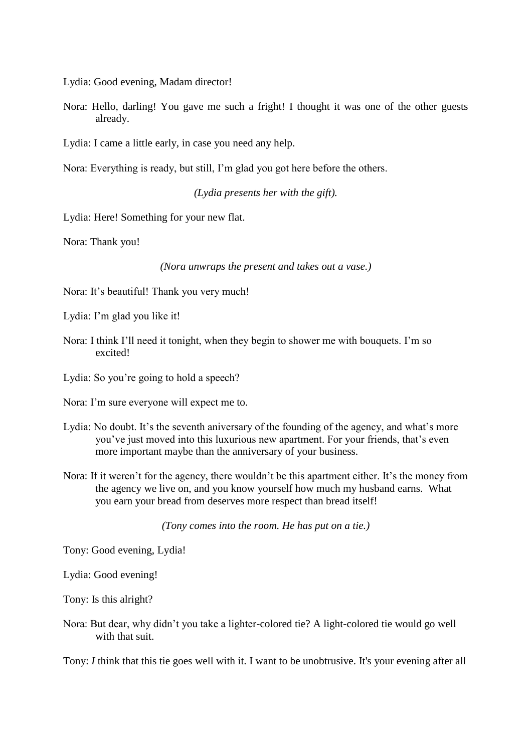Lydia: Good evening, Madam director!

- Nora: Hello, darling! You gave me such a fright! I thought it was one of the other guests already.
- Lydia: I came a little early, in case you need any help.

Nora: Everything is ready, but still, I'm glad you got here before the others.

*(Lydia presents her with the gift).*

Lydia: Here! Something for your new flat.

Nora: Thank you!

*(Nora unwraps the present and takes out a vase.)*

Nora: It's beautiful! Thank you very much!

Lydia: I'm glad you like it!

Nora: I think I'll need it tonight, when they begin to shower me with bouquets. I'm so excited!

Lydia: So you're going to hold a speech?

Nora: I'm sure everyone will expect me to.

- Lydia: No doubt. It's the seventh aniversary of the founding of the agency, and what's more you've just moved into this luxurious new apartment. For your friends, that's even more important maybe than the anniversary of your business.
- Nora: If it weren't for the agency, there wouldn't be this apartment either. It's the money from the agency we live on, and you know yourself how much my husband earns. What you earn your bread from deserves more respect than bread itself!

*(Tony comes into the room. He has put on a tie.)*

Tony: Good evening, Lydia!

Lydia: Good evening!

Tony: Is this alright?

Nora: But dear, why didn't you take a lighter-colored tie? A light-colored tie would go well with that suit.

Tony: *I* think that this tie goes well with it. I want to be unobtrusive. It's your evening after all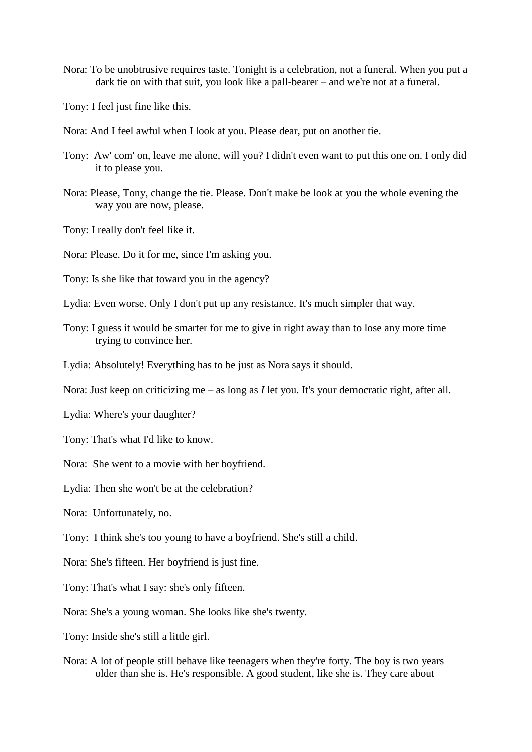- Nora: To be unobtrusive requires taste. Tonight is a celebration, not a funeral. When you put a dark tie on with that suit, you look like a pall-bearer – and we're not at a funeral.
- Tony: I feel just fine like this.
- Nora: And I feel awful when I look at you. Please dear, put on another tie.
- Tony: Aw' com' on, leave me alone, will you? I didn't even want to put this one on. I only did it to please you.
- Nora: Please, Tony, change the tie. Please. Don't make be look at you the whole evening the way you are now, please.
- Tony: I really don't feel like it.
- Nora: Please. Do it for me, since I'm asking you.
- Tony: Is she like that toward you in the agency?
- Lydia: Even worse. Only I don't put up any resistance. It's much simpler that way.
- Tony: I guess it would be smarter for me to give in right away than to lose any more time trying to convince her.
- Lydia: Absolutely! Everything has to be just as Nora says it should.
- Nora: Just keep on criticizing me as long as *I* let you. It's your democratic right, after all.
- Lydia: Where's your daughter?
- Tony: That's what I'd like to know.
- Nora: She went to a movie with her boyfriend.
- Lydia: Then she won't be at the celebration?
- Nora: Unfortunately, no.
- Tony: I think she's too young to have a boyfriend. She's still a child.
- Nora: She's fifteen. Her boyfriend is just fine.
- Tony: That's what I say: she's only fifteen.
- Nora: She's a young woman. She looks like she's twenty.
- Tony: Inside she's still a little girl.
- Nora: A lot of people still behave like teenagers when they're forty. The boy is two years older than she is. He's responsible. A good student, like she is. They care about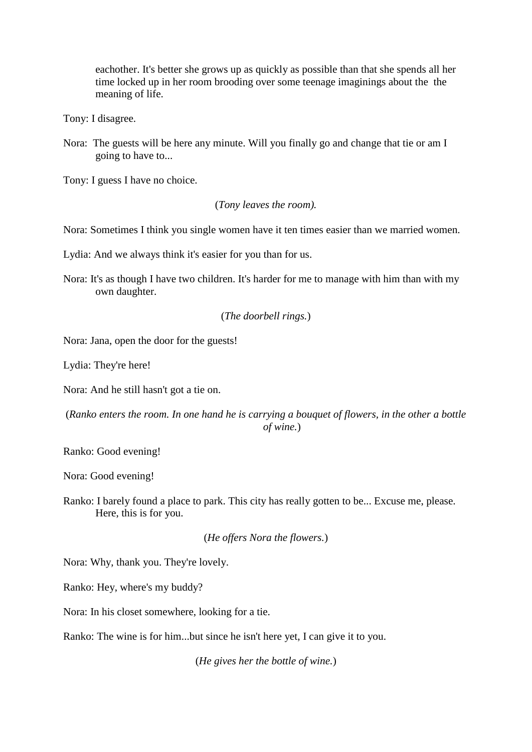eachother. It's better she grows up as quickly as possible than that she spends all her time locked up in her room brooding over some teenage imaginings about the the meaning of life.

Tony: I disagree.

Nora: The guests will be here any minute. Will you finally go and change that tie or am I going to have to...

Tony: I guess I have no choice.

(*Tony leaves the room).*

Nora: Sometimes I think you single women have it ten times easier than we married women.

Lydia: And we always think it's easier for you than for us.

Nora: It's as though I have two children. It's harder for me to manage with him than with my own daughter.

(*The doorbell rings.*)

Nora: Jana, open the door for the guests!

Lydia: They're here!

Nora: And he still hasn't got a tie on.

(*Ranko enters the room. In one hand he is carrying a bouquet of flowers, in the other a bottle of wine.*)

Ranko: Good evening!

Nora: Good evening!

Ranko: I barely found a place to park. This city has really gotten to be... Excuse me, please. Here, this is for you.

(*He offers Nora the flowers.*)

Nora: Why, thank you. They're lovely.

Ranko: Hey, where's my buddy?

Nora: In his closet somewhere, looking for a tie.

Ranko: The wine is for him...but since he isn't here yet, I can give it to you.

(*He gives her the bottle of wine.*)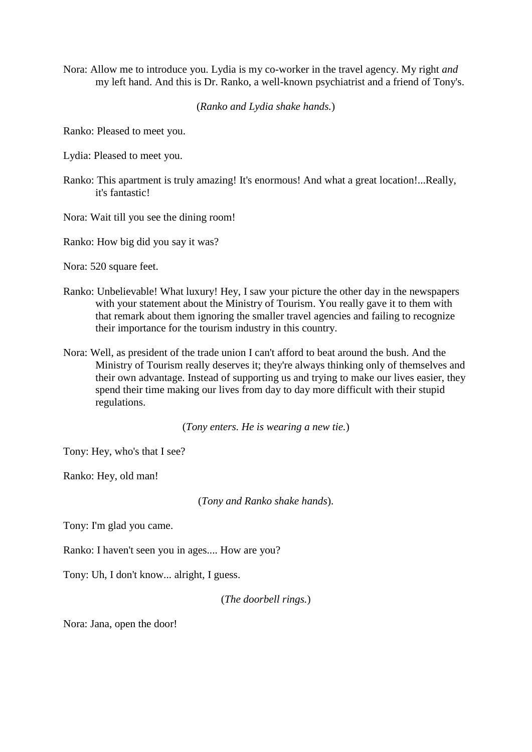Nora: Allow me to introduce you. Lydia is my co-worker in the travel agency. My right *and* my left hand. And this is Dr. Ranko, a well-known psychiatrist and a friend of Tony's.

(*Ranko and Lydia shake hands.*)

Ranko: Pleased to meet you.

Lydia: Pleased to meet you.

Ranko: This apartment is truly amazing! It's enormous! And what a great location!...Really, it's fantastic!

Nora: Wait till you see the dining room!

Ranko: How big did you say it was?

Nora: 520 square feet.

- Ranko: Unbelievable! What luxury! Hey, I saw your picture the other day in the newspapers with your statement about the Ministry of Tourism. You really gave it to them with that remark about them ignoring the smaller travel agencies and failing to recognize their importance for the tourism industry in this country.
- Nora: Well, as president of the trade union I can't afford to beat around the bush. And the Ministry of Tourism really deserves it; they're always thinking only of themselves and their own advantage. Instead of supporting us and trying to make our lives easier, they spend their time making our lives from day to day more difficult with their stupid regulations.

(*Tony enters. He is wearing a new tie.*)

Tony: Hey, who's that I see?

Ranko: Hey, old man!

(*Tony and Ranko shake hands*).

Tony: I'm glad you came.

Ranko: I haven't seen you in ages.... How are you?

Tony: Uh, I don't know... alright, I guess.

(*The doorbell rings.*)

Nora: Jana, open the door!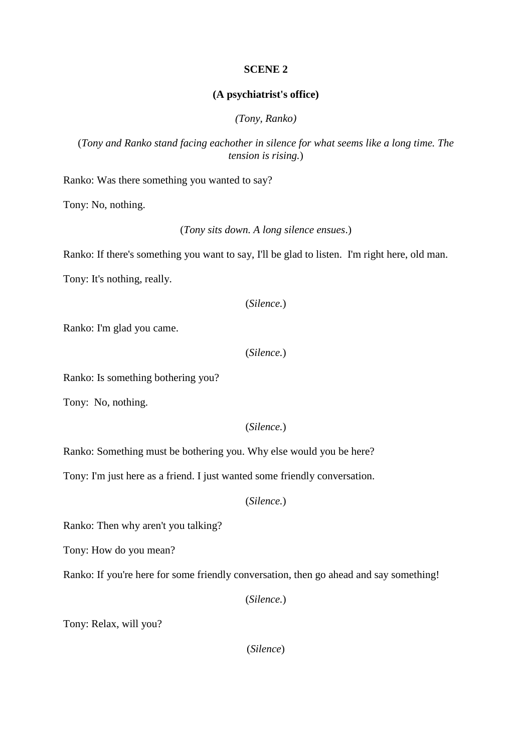### **SCENE 2**

# **(A psychiatrist's office)**

*(Tony, Ranko)*

(*Tony and Ranko stand facing eachother in silence for what seems like a long time. The tension is rising.*)

Ranko: Was there something you wanted to say?

Tony: No, nothing.

```
(Tony sits down. A long silence ensues.)
```
Ranko: If there's something you want to say, I'll be glad to listen. I'm right here, old man.

Tony: It's nothing, really.

```
(Silence.)
```
Ranko: I'm glad you came.

```
(Silence.)
```
Ranko: Is something bothering you?

Tony: No, nothing.

(*Silence.*)

Ranko: Something must be bothering you. Why else would you be here?

Tony: I'm just here as a friend. I just wanted some friendly conversation.

(*Silence.*)

Ranko: Then why aren't you talking?

Tony: How do you mean?

Ranko: If you're here for some friendly conversation, then go ahead and say something!

```
(Silence.)
```
Tony: Relax, will you?

(*Silence*)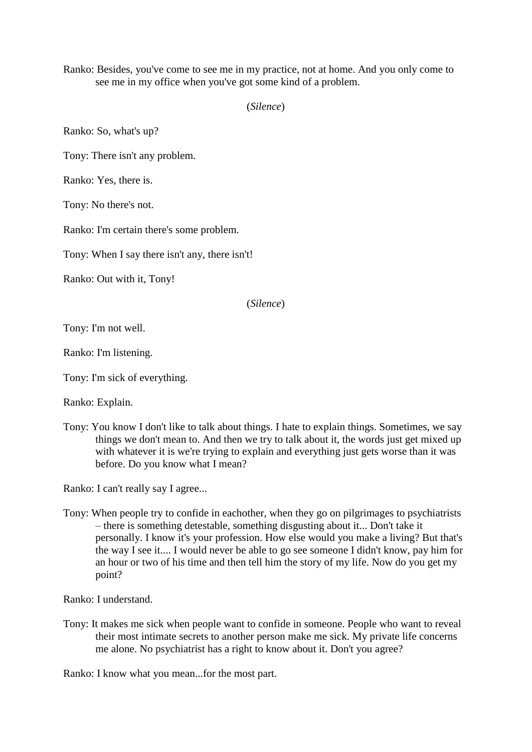Ranko: Besides, you've come to see me in my practice, not at home. And you only come to see me in my office when you've got some kind of a problem.

(*Silence*)

Ranko: So, what's up?

Tony: There isn't any problem.

Ranko: Yes, there is.

Tony: No there's not.

Ranko: I'm certain there's some problem.

Tony: When I say there isn't any, there isn't!

Ranko: Out with it, Tony!

(*Silence*)

Tony: I'm not well.

Ranko: I'm listening.

Tony: I'm sick of everything.

Ranko: Explain.

Tony: You know I don't like to talk about things. I hate to explain things. Sometimes, we say things we don't mean to. And then we try to talk about it, the words just get mixed up with whatever it is we're trying to explain and everything just gets worse than it was before. Do you know what I mean?

Ranko: I can't really say I agree...

Tony: When people try to confide in eachother, when they go on pilgrimages to psychiatrists – there is something detestable, something disgusting about it... Don't take it personally. I know it's your profession. How else would you make a living? But that's the way I see it.... I would never be able to go see someone I didn't know, pay him for an hour or two of his time and then tell him the story of my life. Now do you get my point?

Ranko: I understand.

Tony: It makes me sick when people want to confide in someone. People who want to reveal their most intimate secrets to another person make me sick. My private life concerns me alone. No psychiatrist has a right to know about it. Don't you agree?

Ranko: I know what you mean...for the most part.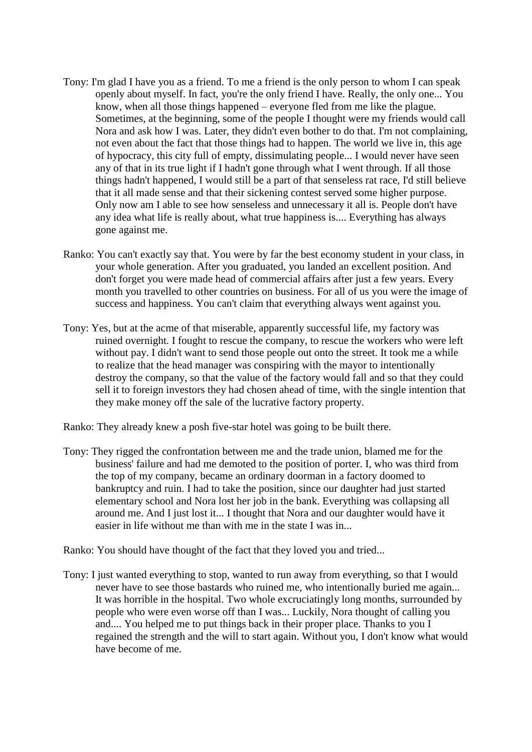- Tony: I'm glad I have you as a friend. To me a friend is the only person to whom I can speak openly about myself. In fact, you're the only friend I have. Really, the only one... You know, when all those things happened – everyone fled from me like the plague. Sometimes, at the beginning, some of the people I thought were my friends would call Nora and ask how I was. Later, they didn't even bother to do that. I'm not complaining, not even about the fact that those things had to happen. The world we live in, this age of hypocracy, this city full of empty, dissimulating people... I would never have seen any of that in its true light if I hadn't gone through what I went through. If all those things hadn't happened, I would still be a part of that senseless rat race, I'd still believe that it all made sense and that their sickening contest served some higher purpose. Only now am I able to see how senseless and unnecessary it all is. People don't have any idea what life is really about, what true happiness is.... Everything has always gone against me.
- Ranko: You can't exactly say that. You were by far the best economy student in your class, in your whole generation. After you graduated, you landed an excellent position. And don't forget you were made head of commercial affairs after just a few years. Every month you travelled to other countries on business. For all of us you were the image of success and happiness. You can't claim that everything always went against you.
- Tony: Yes, but at the acme of that miserable, apparently successful life, my factory was ruined overnight. I fought to rescue the company, to rescue the workers who were left without pay. I didn't want to send those people out onto the street. It took me a while to realize that the head manager was conspiring with the mayor to intentionally destroy the company, so that the value of the factory would fall and so that they could sell it to foreign investors they had chosen ahead of time, with the single intention that they make money off the sale of the lucrative factory property.
- Ranko: They already knew a posh five-star hotel was going to be built there.
- Tony: They rigged the confrontation between me and the trade union, blamed me for the business' failure and had me demoted to the position of porter. I, who was third from the top of my company, became an ordinary doorman in a factory doomed to bankruptcy and ruin. I had to take the position, since our daughter had just started elementary school and Nora lost her job in the bank. Everything was collapsing all around me. And I just lost it... I thought that Nora and our daughter would have it easier in life without me than with me in the state I was in...
- Ranko: You should have thought of the fact that they loved you and tried...
- Tony: I just wanted everything to stop, wanted to run away from everything, so that I would never have to see those bastards who ruined me, who intentionally buried me again... It was horrible in the hospital. Two whole excruciatingly long months, surrounded by people who were even worse off than I was... Luckily, Nora thought of calling you and.... You helped me to put things back in their proper place. Thanks to you I regained the strength and the will to start again. Without you, I don't know what would have become of me.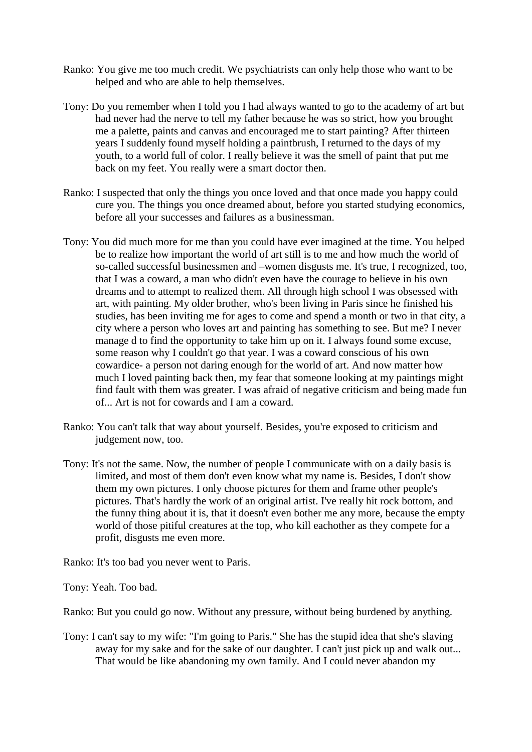- Ranko: You give me too much credit. We psychiatrists can only help those who want to be helped and who are able to help themselves.
- Tony: Do you remember when I told you I had always wanted to go to the academy of art but had never had the nerve to tell my father because he was so strict, how you brought me a palette, paints and canvas and encouraged me to start painting? After thirteen years I suddenly found myself holding a paintbrush, I returned to the days of my youth, to a world full of color. I really believe it was the smell of paint that put me back on my feet. You really were a smart doctor then.
- Ranko: I suspected that only the things you once loved and that once made you happy could cure you. The things you once dreamed about, before you started studying economics, before all your successes and failures as a businessman.
- Tony: You did much more for me than you could have ever imagined at the time. You helped be to realize how important the world of art still is to me and how much the world of so-called successful businessmen and –women disgusts me. It's true, I recognized, too, that I was a coward, a man who didn't even have the courage to believe in his own dreams and to attempt to realized them. All through high school I was obsessed with art, with painting. My older brother, who's been living in Paris since he finished his studies, has been inviting me for ages to come and spend a month or two in that city, a city where a person who loves art and painting has something to see. But me? I never manage d to find the opportunity to take him up on it. I always found some excuse, some reason why I couldn't go that year. I was a coward conscious of his own cowardice- a person not daring enough for the world of art. And now matter how much I loved painting back then, my fear that someone looking at my paintings might find fault with them was greater. I was afraid of negative criticism and being made fun of... Art is not for cowards and I am a coward.
- Ranko: You can't talk that way about yourself. Besides, you're exposed to criticism and judgement now, too.
- Tony: It's not the same. Now, the number of people I communicate with on a daily basis is limited, and most of them don't even know what my name is. Besides, I don't show them my own pictures. I only choose pictures for them and frame other people's pictures. That's hardly the work of an original artist. I've really hit rock bottom, and the funny thing about it is, that it doesn't even bother me any more, because the empty world of those pitiful creatures at the top, who kill eachother as they compete for a profit, disgusts me even more.

Ranko: It's too bad you never went to Paris.

Tony: Yeah. Too bad.

Ranko: But you could go now. Without any pressure, without being burdened by anything.

Tony: I can't say to my wife: "I'm going to Paris." She has the stupid idea that she's slaving away for my sake and for the sake of our daughter. I can't just pick up and walk out... That would be like abandoning my own family. And I could never abandon my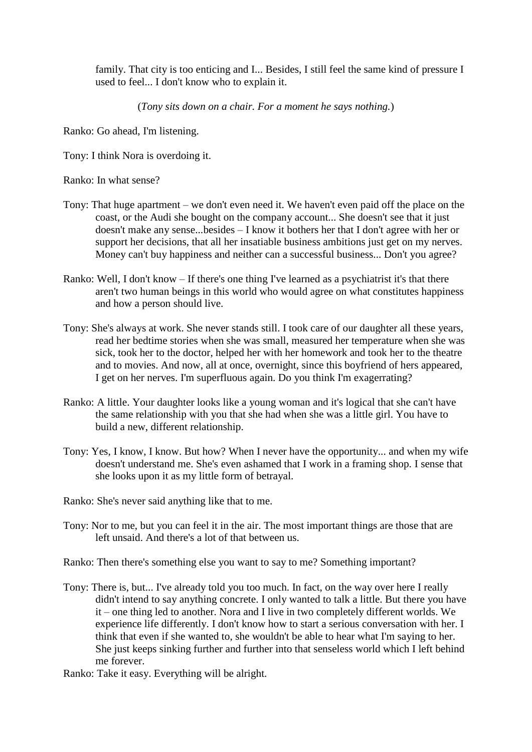family. That city is too enticing and I... Besides, I still feel the same kind of pressure I used to feel... I don't know who to explain it.

(*Tony sits down on a chair. For a moment he says nothing.*)

Ranko: Go ahead, I'm listening.

Tony: I think Nora is overdoing it.

Ranko: In what sense?

- Tony: That huge apartment we don't even need it. We haven't even paid off the place on the coast, or the Audi she bought on the company account... She doesn't see that it just doesn't make any sense...besides – I know it bothers her that I don't agree with her or support her decisions, that all her insatiable business ambitions just get on my nerves. Money can't buy happiness and neither can a successful business... Don't you agree?
- Ranko: Well, I don't know If there's one thing I've learned as a psychiatrist it's that there aren't two human beings in this world who would agree on what constitutes happiness and how a person should live.
- Tony: She's always at work. She never stands still. I took care of our daughter all these years, read her bedtime stories when she was small, measured her temperature when she was sick, took her to the doctor, helped her with her homework and took her to the theatre and to movies. And now, all at once, overnight, since this boyfriend of hers appeared, I get on her nerves. I'm superfluous again. Do you think I'm exagerrating?
- Ranko: A little. Your daughter looks like a young woman and it's logical that she can't have the same relationship with you that she had when she was a little girl. You have to build a new, different relationship.
- Tony: Yes, I know, I know. But how? When I never have the opportunity... and when my wife doesn't understand me. She's even ashamed that I work in a framing shop. I sense that she looks upon it as my little form of betrayal.
- Ranko: She's never said anything like that to me.
- Tony: Nor to me, but you can feel it in the air. The most important things are those that are left unsaid. And there's a lot of that between us.

Ranko: Then there's something else you want to say to me? Something important?

- Tony: There is, but... I've already told you too much. In fact, on the way over here I really didn't intend to say anything concrete. I only wanted to talk a little. But there you have it – one thing led to another. Nora and I live in two completely different worlds. We experience life differently. I don't know how to start a serious conversation with her. I think that even if she wanted to, she wouldn't be able to hear what I'm saying to her. She just keeps sinking further and further into that senseless world which I left behind me forever.
- Ranko: Take it easy. Everything will be alright.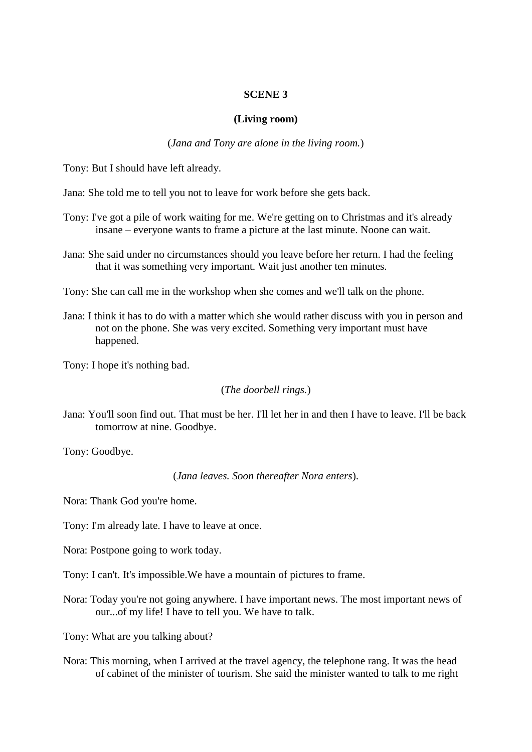### **SCENE 3**

### **(Living room)**

### (*Jana and Tony are alone in the living room.*)

Tony: But I should have left already.

Jana: She told me to tell you not to leave for work before she gets back.

- Tony: I've got a pile of work waiting for me. We're getting on to Christmas and it's already insane – everyone wants to frame a picture at the last minute. Noone can wait.
- Jana: She said under no circumstances should you leave before her return. I had the feeling that it was something very important. Wait just another ten minutes.

Tony: She can call me in the workshop when she comes and we'll talk on the phone.

Jana: I think it has to do with a matter which she would rather discuss with you in person and not on the phone. She was very excited. Something very important must have happened.

Tony: I hope it's nothing bad.

(*The doorbell rings.*)

Jana: You'll soon find out. That must be her. I'll let her in and then I have to leave. I'll be back tomorrow at nine. Goodbye.

Tony: Goodbye.

(*Jana leaves. Soon thereafter Nora enters*).

Nora: Thank God you're home.

- Tony: I'm already late. I have to leave at once.
- Nora: Postpone going to work today.

Tony: I can't. It's impossible.We have a mountain of pictures to frame.

Nora: Today you're not going anywhere. I have important news. The most important news of our...of my life! I have to tell you. We have to talk.

Tony: What are you talking about?

Nora: This morning, when I arrived at the travel agency, the telephone rang. It was the head of cabinet of the minister of tourism. She said the minister wanted to talk to me right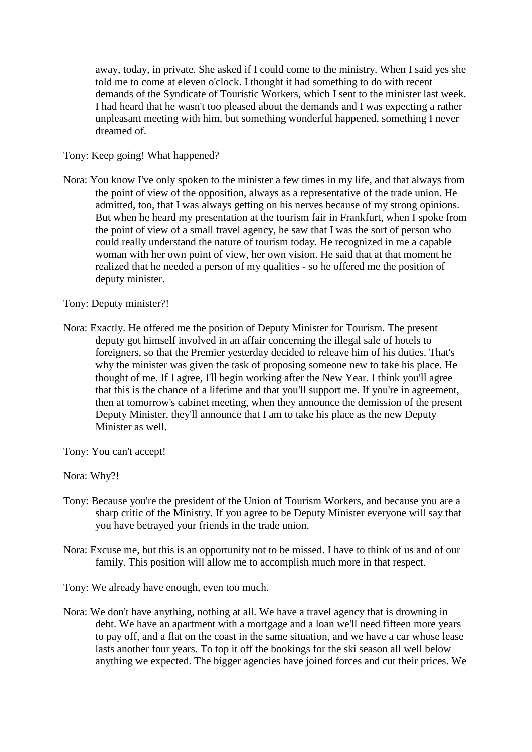away, today, in private. She asked if I could come to the ministry. When I said yes she told me to come at eleven o'clock. I thought it had something to do with recent demands of the Syndicate of Touristic Workers, which I sent to the minister last week. I had heard that he wasn't too pleased about the demands and I was expecting a rather unpleasant meeting with him, but something wonderful happened, something I never dreamed of.

Tony: Keep going! What happened?

Nora: You know I've only spoken to the minister a few times in my life, and that always from the point of view of the opposition, always as a representative of the trade union. He admitted, too, that I was always getting on his nerves because of my strong opinions. But when he heard my presentation at the tourism fair in Frankfurt, when I spoke from the point of view of a small travel agency, he saw that I was the sort of person who could really understand the nature of tourism today. He recognized in me a capable woman with her own point of view, her own vision. He said that at that moment he realized that he needed a person of my qualities - so he offered me the position of deputy minister.

Tony: Deputy minister?!

- Nora: Exactly. He offered me the position of Deputy Minister for Tourism. The present deputy got himself involved in an affair concerning the illegal sale of hotels to foreigners, so that the Premier yesterday decided to releave him of his duties. That's why the minister was given the task of proposing someone new to take his place. He thought of me. If I agree, I'll begin working after the New Year. I think you'll agree that this is the chance of a lifetime and that you'll support me. If you're in agreement, then at tomorrow's cabinet meeting, when they announce the demission of the present Deputy Minister, they'll announce that I am to take his place as the new Deputy Minister as well.
- Tony: You can't accept!

Nora: Why?!

- Tony: Because you're the president of the Union of Tourism Workers, and because you are a sharp critic of the Ministry. If you agree to be Deputy Minister everyone will say that you have betrayed your friends in the trade union.
- Nora: Excuse me, but this is an opportunity not to be missed. I have to think of us and of our family. This position will allow me to accomplish much more in that respect.

Tony: We already have enough, even too much.

Nora: We don't have anything, nothing at all. We have a travel agency that is drowning in debt. We have an apartment with a mortgage and a loan we'll need fifteen more years to pay off, and a flat on the coast in the same situation, and we have a car whose lease lasts another four years. To top it off the bookings for the ski season all well below anything we expected. The bigger agencies have joined forces and cut their prices. We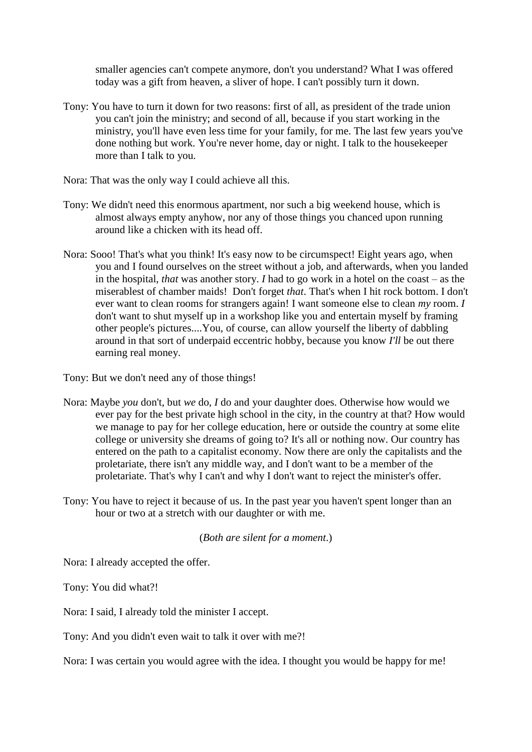smaller agencies can't compete anymore, don't you understand? What I was offered today was a gift from heaven, a sliver of hope. I can't possibly turn it down.

- Tony: You have to turn it down for two reasons: first of all, as president of the trade union you can't join the ministry; and second of all, because if you start working in the ministry, you'll have even less time for your family, for me. The last few years you've done nothing but work. You're never home, day or night. I talk to the housekeeper more than I talk to you.
- Nora: That was the only way I could achieve all this.
- Tony: We didn't need this enormous apartment, nor such a big weekend house, which is almost always empty anyhow, nor any of those things you chanced upon running around like a chicken with its head off.
- Nora: Sooo! That's what you think! It's easy now to be circumspect! Eight years ago, when you and I found ourselves on the street without a job, and afterwards, when you landed in the hospital, *that* was another story. *I* had to go work in a hotel on the coast – as the miserablest of chamber maids! Don't forget *that*. That's when I hit rock bottom. I don't ever want to clean rooms for strangers again! I want someone else to clean *my* room. *I* don't want to shut myself up in a workshop like you and entertain myself by framing other people's pictures....You, of course, can allow yourself the liberty of dabbling around in that sort of underpaid eccentric hobby, because you know *I'll* be out there earning real money.

Tony: But we don't need any of those things!

- Nora: Maybe *you* don't, but *we* do, *I* do and your daughter does. Otherwise how would we ever pay for the best private high school in the city, in the country at that? How would we manage to pay for her college education, here or outside the country at some elite college or university she dreams of going to? It's all or nothing now. Our country has entered on the path to a capitalist economy. Now there are only the capitalists and the proletariate, there isn't any middle way, and I don't want to be a member of the proletariate. That's why I can't and why I don't want to reject the minister's offer.
- Tony: You have to reject it because of us. In the past year you haven't spent longer than an hour or two at a stretch with our daughter or with me.

(*Both are silent for a moment*.)

Nora: I already accepted the offer.

Tony: You did what?!

Nora: I said, I already told the minister I accept.

Tony: And you didn't even wait to talk it over with me?!

Nora: I was certain you would agree with the idea. I thought you would be happy for me!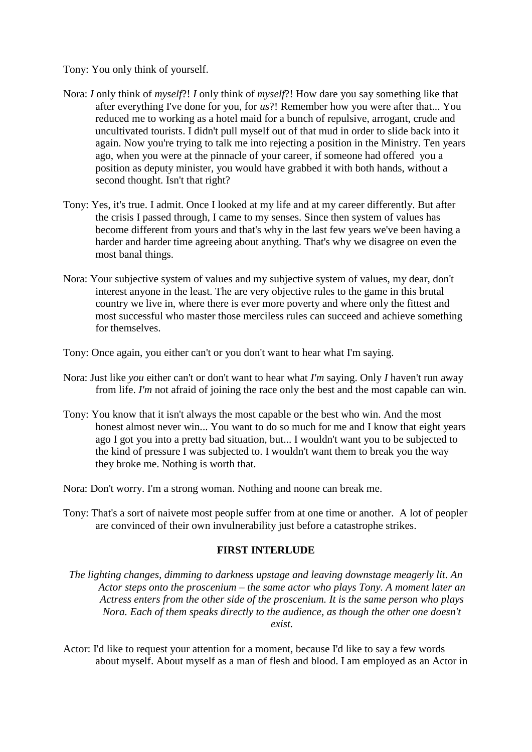Tony: You only think of yourself.

- Nora: *I* only think of *myself*?! *I* only think of *myself*?! How dare you say something like that after everything I've done for you, for *us*?! Remember how you were after that... You reduced me to working as a hotel maid for a bunch of repulsive, arrogant, crude and uncultivated tourists. I didn't pull myself out of that mud in order to slide back into it again. Now you're trying to talk me into rejecting a position in the Ministry. Ten years ago, when you were at the pinnacle of your career, if someone had offered you a position as deputy minister, you would have grabbed it with both hands, without a second thought. Isn't that right?
- Tony: Yes, it's true. I admit. Once I looked at my life and at my career differently. But after the crisis I passed through, I came to my senses. Since then system of values has become different from yours and that's why in the last few years we've been having a harder and harder time agreeing about anything. That's why we disagree on even the most banal things.
- Nora: Your subjective system of values and my subjective system of values, my dear, don't interest anyone in the least. The are very objective rules to the game in this brutal country we live in, where there is ever more poverty and where only the fittest and most successful who master those merciless rules can succeed and achieve something for themselves.
- Tony: Once again, you either can't or you don't want to hear what I'm saying.
- Nora: Just like *you* either can't or don't want to hear what *I'm* saying. Only *I* haven't run away from life. *I'm* not afraid of joining the race only the best and the most capable can win.
- Tony: You know that it isn't always the most capable or the best who win. And the most honest almost never win... You want to do so much for me and I know that eight years ago I got you into a pretty bad situation, but... I wouldn't want you to be subjected to the kind of pressure I was subjected to. I wouldn't want them to break you the way they broke me. Nothing is worth that.
- Nora: Don't worry. I'm a strong woman. Nothing and noone can break me.
- Tony: That's a sort of naivete most people suffer from at one time or another. A lot of peopler are convinced of their own invulnerability just before a catastrophe strikes.

# **FIRST INTERLUDE**

*The lighting changes, dimming to darkness upstage and leaving downstage meagerly lit. An Actor steps onto the proscenium – the same actor who plays Tony. A moment later an Actress enters from the other side of the proscenium. It is the same person who plays Nora. Each of them speaks directly to the audience, as though the other one doesn't exist.*

Actor: I'd like to request your attention for a moment, because I'd like to say a few words about myself. About myself as a man of flesh and blood. I am employed as an Actor in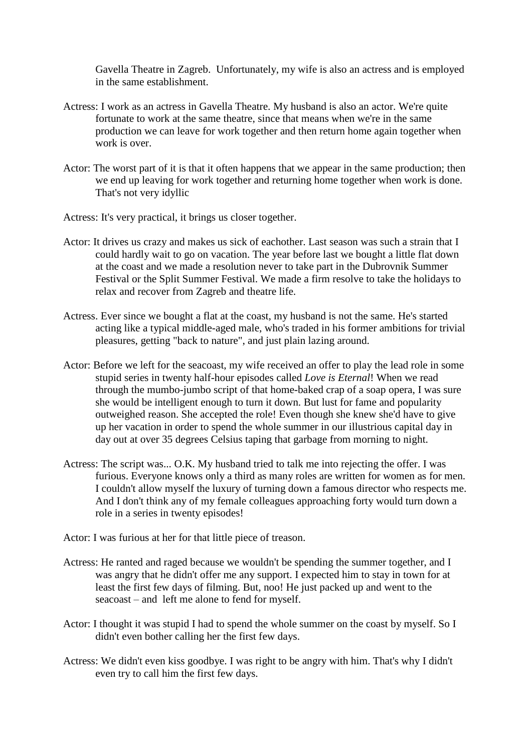Gavella Theatre in Zagreb. Unfortunately, my wife is also an actress and is employed in the same establishment.

- Actress: I work as an actress in Gavella Theatre. My husband is also an actor. We're quite fortunate to work at the same theatre, since that means when we're in the same production we can leave for work together and then return home again together when work is over.
- Actor: The worst part of it is that it often happens that we appear in the same production; then we end up leaving for work together and returning home together when work is done. That's not very idyllic
- Actress: It's very practical, it brings us closer together.
- Actor: It drives us crazy and makes us sick of eachother. Last season was such a strain that I could hardly wait to go on vacation. The year before last we bought a little flat down at the coast and we made a resolution never to take part in the Dubrovnik Summer Festival or the Split Summer Festival. We made a firm resolve to take the holidays to relax and recover from Zagreb and theatre life.
- Actress. Ever since we bought a flat at the coast, my husband is not the same. He's started acting like a typical middle-aged male, who's traded in his former ambitions for trivial pleasures, getting "back to nature", and just plain lazing around.
- Actor: Before we left for the seacoast, my wife received an offer to play the lead role in some stupid series in twenty half-hour episodes called *Love is Eternal*! When we read through the mumbo-jumbo script of that home-baked crap of a soap opera, I was sure she would be intelligent enough to turn it down. But lust for fame and popularity outweighed reason. She accepted the role! Even though she knew she'd have to give up her vacation in order to spend the whole summer in our illustrious capital day in day out at over 35 degrees Celsius taping that garbage from morning to night.
- Actress: The script was... O.K. My husband tried to talk me into rejecting the offer. I was furious. Everyone knows only a third as many roles are written for women as for men. I couldn't allow myself the luxury of turning down a famous director who respects me. And I don't think any of my female colleagues approaching forty would turn down a role in a series in twenty episodes!
- Actor: I was furious at her for that little piece of treason.
- Actress: He ranted and raged because we wouldn't be spending the summer together, and I was angry that he didn't offer me any support. I expected him to stay in town for at least the first few days of filming. But, noo! He just packed up and went to the seacoast – and left me alone to fend for myself.
- Actor: I thought it was stupid I had to spend the whole summer on the coast by myself. So I didn't even bother calling her the first few days.
- Actress: We didn't even kiss goodbye. I was right to be angry with him. That's why I didn't even try to call him the first few days.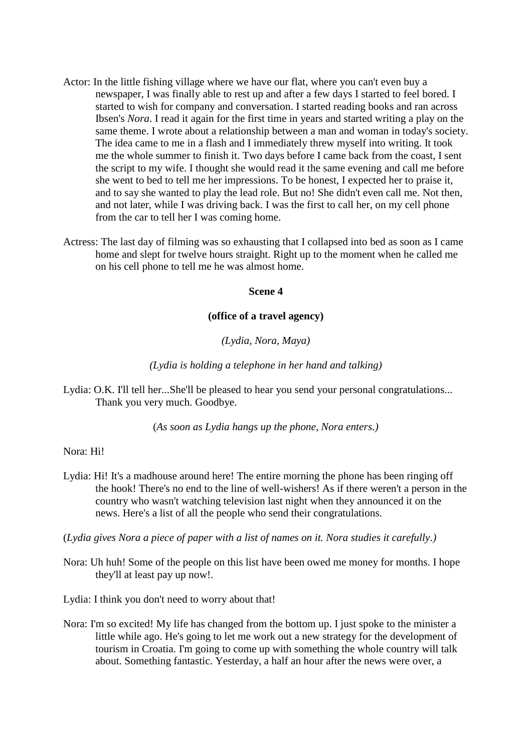- Actor: In the little fishing village where we have our flat, where you can't even buy a newspaper, I was finally able to rest up and after a few days I started to feel bored. I started to wish for company and conversation. I started reading books and ran across Ibsen's *Nora*. I read it again for the first time in years and started writing a play on the same theme. I wrote about a relationship between a man and woman in today's society. The idea came to me in a flash and I immediately threw myself into writing. It took me the whole summer to finish it. Two days before I came back from the coast, I sent the script to my wife. I thought she would read it the same evening and call me before she went to bed to tell me her impressions. To be honest, I expected her to praise it, and to say she wanted to play the lead role. But no! She didn't even call me. Not then, and not later, while I was driving back. I was the first to call her, on my cell phone from the car to tell her I was coming home.
- Actress: The last day of filming was so exhausting that I collapsed into bed as soon as I came home and slept for twelve hours straight. Right up to the moment when he called me on his cell phone to tell me he was almost home.

# **Scene 4**

#### **(office of a travel agency)**

### *(Lydia, Nora, Maya)*

### *(Lydia is holding a telephone in her hand and talking)*

Lydia: O.K. I'll tell her...She'll be pleased to hear you send your personal congratulations... Thank you very much. Goodbye.

(*As soon as Lydia hangs up the phone, Nora enters.)*

### Nora: Hi!

Lydia: Hi! It's a madhouse around here! The entire morning the phone has been ringing off the hook! There's no end to the line of well-wishers! As if there weren't a person in the country who wasn't watching television last night when they announced it on the news. Here's a list of all the people who send their congratulations.

(*Lydia gives Nora a piece of paper with a list of names on it. Nora studies it carefully.)*

Nora: Uh huh! Some of the people on this list have been owed me money for months. I hope they'll at least pay up now!.

Lydia: I think you don't need to worry about that!

Nora: I'm so excited! My life has changed from the bottom up. I just spoke to the minister a little while ago. He's going to let me work out a new strategy for the development of tourism in Croatia. I'm going to come up with something the whole country will talk about. Something fantastic. Yesterday, a half an hour after the news were over, a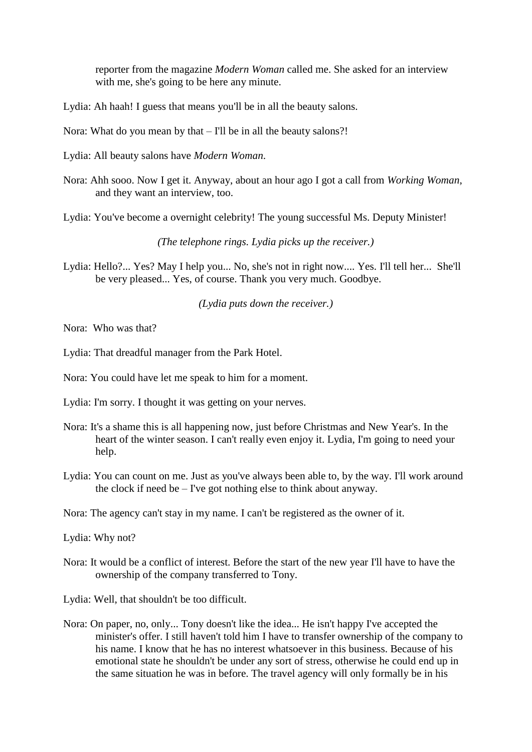reporter from the magazine *Modern Woman* called me. She asked for an interview with me, she's going to be here any minute.

Lydia: Ah haah! I guess that means you'll be in all the beauty salons.

Nora: What do you mean by that – I'll be in all the beauty salons?!

Lydia: All beauty salons have *Modern Woman*.

Nora: Ahh sooo. Now I get it. Anyway, about an hour ago I got a call from *Working Woman*, and they want an interview, too.

Lydia: You've become a overnight celebrity! The young successful Ms. Deputy Minister!

*(The telephone rings. Lydia picks up the receiver.)*

Lydia: Hello?... Yes? May I help you... No, she's not in right now.... Yes. I'll tell her... She'll be very pleased... Yes, of course. Thank you very much. Goodbye.

*(Lydia puts down the receiver.)*

Nora: Who was that?

Lydia: That dreadful manager from the Park Hotel.

Nora: You could have let me speak to him for a moment.

Lydia: I'm sorry. I thought it was getting on your nerves.

- Nora: It's a shame this is all happening now, just before Christmas and New Year's. In the heart of the winter season. I can't really even enjoy it. Lydia, I'm going to need your help.
- Lydia: You can count on me. Just as you've always been able to, by the way. I'll work around the clock if need be – I've got nothing else to think about anyway.

Nora: The agency can't stay in my name. I can't be registered as the owner of it.

Lydia: Why not?

Nora: It would be a conflict of interest. Before the start of the new year I'll have to have the ownership of the company transferred to Tony.

Lydia: Well, that shouldn't be too difficult.

Nora: On paper, no, only... Tony doesn't like the idea... He isn't happy I've accepted the minister's offer. I still haven't told him I have to transfer ownership of the company to his name. I know that he has no interest whatsoever in this business. Because of his emotional state he shouldn't be under any sort of stress, otherwise he could end up in the same situation he was in before. The travel agency will only formally be in his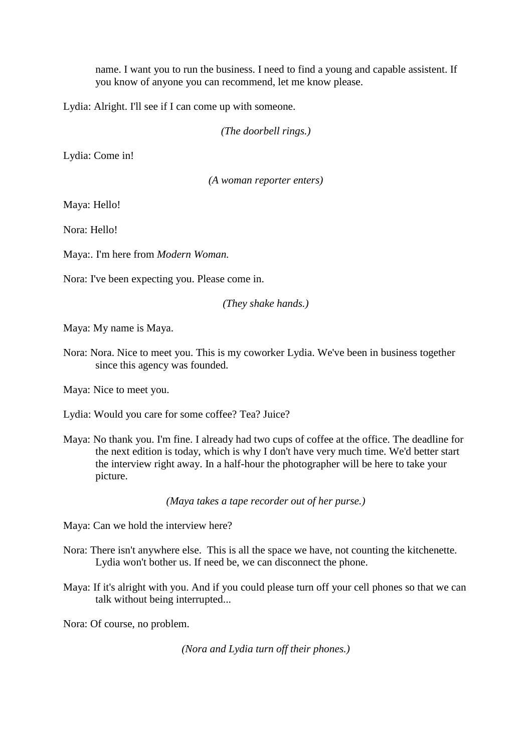name. I want you to run the business. I need to find a young and capable assistent. If you know of anyone you can recommend, let me know please.

Lydia: Alright. I'll see if I can come up with someone.

*(The doorbell rings.)*

Lydia: Come in!

*(A woman reporter enters)*

Maya: Hello!

Nora: Hello!

Maya:. I'm here from *Modern Woman.*

Nora: I've been expecting you. Please come in.

*(They shake hands.)*

Maya: My name is Maya.

Nora: Nora. Nice to meet you. This is my coworker Lydia. We've been in business together since this agency was founded.

Maya: Nice to meet you.

Lydia: Would you care for some coffee? Tea? Juice?

Maya: No thank you. I'm fine. I already had two cups of coffee at the office. The deadline for the next edition is today, which is why I don't have very much time. We'd better start the interview right away. In a half-hour the photographer will be here to take your picture.

*(Maya takes a tape recorder out of her purse.)*

Maya: Can we hold the interview here?

- Nora: There isn't anywhere else. This is all the space we have, not counting the kitchenette. Lydia won't bother us. If need be, we can disconnect the phone.
- Maya: If it's alright with you. And if you could please turn off your cell phones so that we can talk without being interrupted...

Nora: Of course, no problem.

*(Nora and Lydia turn off their phones.)*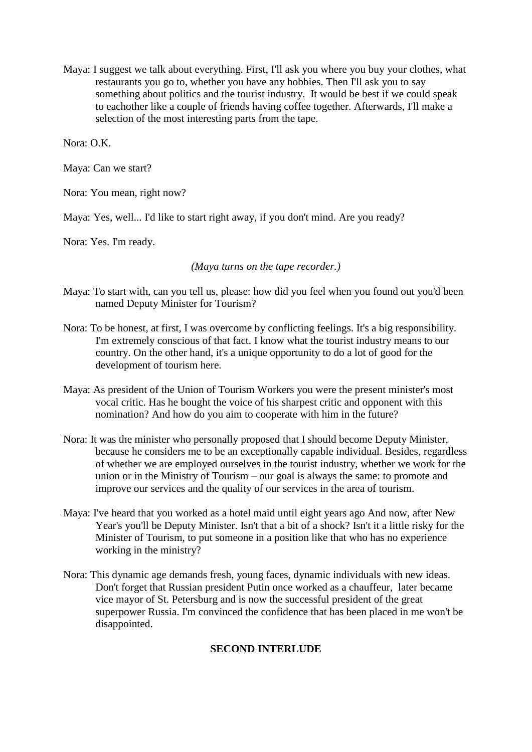Maya: I suggest we talk about everything. First, I'll ask you where you buy your clothes, what restaurants you go to, whether you have any hobbies. Then I'll ask you to say something about politics and the tourist industry. It would be best if we could speak to eachother like a couple of friends having coffee together. Afterwards, I'll make a selection of the most interesting parts from the tape.

Nora: O.K.

Maya: Can we start?

Nora: You mean, right now?

Maya: Yes, well... I'd like to start right away, if you don't mind. Are you ready?

Nora: Yes. I'm ready.

*(Maya turns on the tape recorder.)*

- Maya: To start with, can you tell us, please: how did you feel when you found out you'd been named Deputy Minister for Tourism?
- Nora: To be honest, at first, I was overcome by conflicting feelings. It's a big responsibility. I'm extremely conscious of that fact. I know what the tourist industry means to our country. On the other hand, it's a unique opportunity to do a lot of good for the development of tourism here.
- Maya: As president of the Union of Tourism Workers you were the present minister's most vocal critic. Has he bought the voice of his sharpest critic and opponent with this nomination? And how do you aim to cooperate with him in the future?
- Nora: It was the minister who personally proposed that I should become Deputy Minister, because he considers me to be an exceptionally capable individual. Besides, regardless of whether we are employed ourselves in the tourist industry, whether we work for the union or in the Ministry of Tourism – our goal is always the same: to promote and improve our services and the quality of our services in the area of tourism.
- Maya: I've heard that you worked as a hotel maid until eight years ago And now, after New Year's you'll be Deputy Minister. Isn't that a bit of a shock? Isn't it a little risky for the Minister of Tourism, to put someone in a position like that who has no experience working in the ministry?
- Nora: This dynamic age demands fresh, young faces, dynamic individuals with new ideas. Don't forget that Russian president Putin once worked as a chauffeur, later became vice mayor of St. Petersburg and is now the successful president of the great superpower Russia. I'm convinced the confidence that has been placed in me won't be disappointed.

# **SECOND INTERLUDE**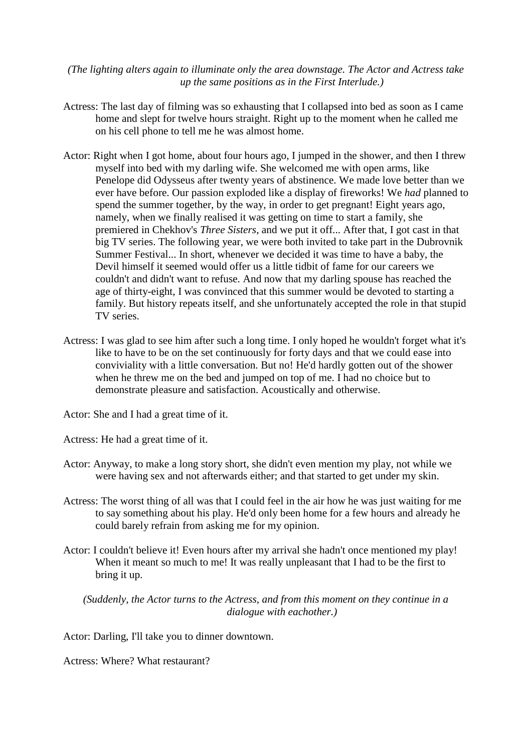*(The lighting alters again to illuminate only the area downstage. The Actor and Actress take up the same positions as in the First Interlude.)*

- Actress: The last day of filming was so exhausting that I collapsed into bed as soon as I came home and slept for twelve hours straight. Right up to the moment when he called me on his cell phone to tell me he was almost home.
- Actor: Right when I got home, about four hours ago, I jumped in the shower, and then I threw myself into bed with my darling wife. She welcomed me with open arms, like Penelope did Odysseus after twenty years of abstinence. We made love better than we ever have before. Our passion exploded like a display of fireworks! We *had* planned to spend the summer together, by the way, in order to get pregnant! Eight years ago, namely, when we finally realised it was getting on time to start a family, she premiered in Chekhov's *Three Sisters*, and we put it off... After that, I got cast in that big TV series. The following year, we were both invited to take part in the Dubrovnik Summer Festival... In short, whenever we decided it was time to have a baby, the Devil himself it seemed would offer us a little tidbit of fame for our careers we couldn't and didn't want to refuse. And now that my darling spouse has reached the age of thirty-eight, I was convinced that this summer would be devoted to starting a family. But history repeats itself, and she unfortunately accepted the role in that stupid TV series.
- Actress: I was glad to see him after such a long time. I only hoped he wouldn't forget what it's like to have to be on the set continuously for forty days and that we could ease into conviviality with a little conversation. But no! He'd hardly gotten out of the shower when he threw me on the bed and jumped on top of me. I had no choice but to demonstrate pleasure and satisfaction. Acoustically and otherwise.

Actor: She and I had a great time of it.

Actress: He had a great time of it.

- Actor: Anyway, to make a long story short, she didn't even mention my play, not while we were having sex and not afterwards either; and that started to get under my skin.
- Actress: The worst thing of all was that I could feel in the air how he was just waiting for me to say something about his play. He'd only been home for a few hours and already he could barely refrain from asking me for my opinion.
- Actor: I couldn't believe it! Even hours after my arrival she hadn't once mentioned my play! When it meant so much to me! It was really unpleasant that I had to be the first to bring it up.

*(Suddenly, the Actor turns to the Actress, and from this moment on they continue in a dialogue with eachother.)*

Actor: Darling, I'll take you to dinner downtown.

Actress: Where? What restaurant?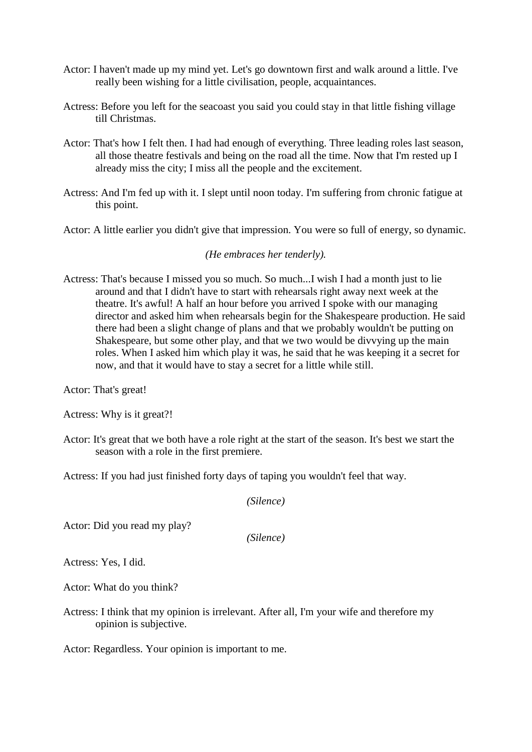- Actor: I haven't made up my mind yet. Let's go downtown first and walk around a little. I've really been wishing for a little civilisation, people, acquaintances.
- Actress: Before you left for the seacoast you said you could stay in that little fishing village till Christmas.
- Actor: That's how I felt then. I had had enough of everything. Three leading roles last season, all those theatre festivals and being on the road all the time. Now that I'm rested up I already miss the city; I miss all the people and the excitement.
- Actress: And I'm fed up with it. I slept until noon today. I'm suffering from chronic fatigue at this point.
- Actor: A little earlier you didn't give that impression. You were so full of energy, so dynamic.

*(He embraces her tenderly).*

Actress: That's because I missed you so much. So much...I wish I had a month just to lie around and that I didn't have to start with rehearsals right away next week at the theatre. It's awful! A half an hour before you arrived I spoke with our managing director and asked him when rehearsals begin for the Shakespeare production. He said there had been a slight change of plans and that we probably wouldn't be putting on Shakespeare, but some other play, and that we two would be divvying up the main roles. When I asked him which play it was, he said that he was keeping it a secret for now, and that it would have to stay a secret for a little while still.

Actor: That's great!

Actress: Why is it great?!

Actor: It's great that we both have a role right at the start of the season. It's best we start the season with a role in the first premiere.

Actress: If you had just finished forty days of taping you wouldn't feel that way.

```
(Silence)
```
Actor: Did you read my play?

```
(Silence)
```
Actress: Yes, I did.

Actor: What do you think?

Actress: I think that my opinion is irrelevant. After all, I'm your wife and therefore my opinion is subjective.

Actor: Regardless. Your opinion is important to me.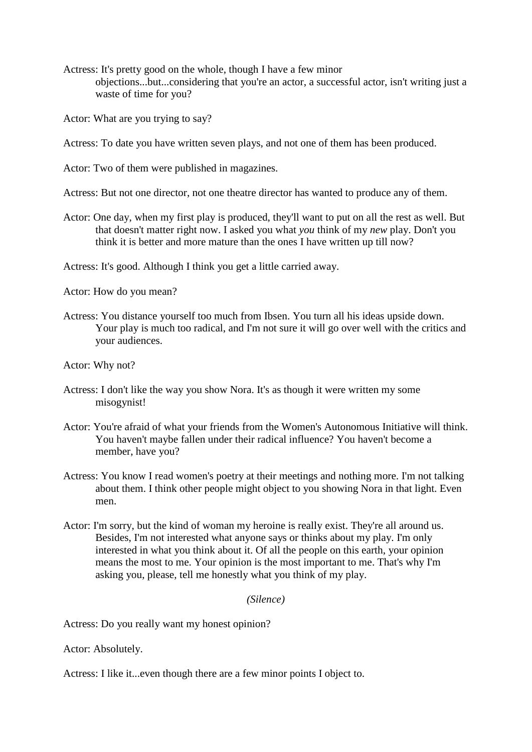Actress: It's pretty good on the whole, though I have a few minor objections...but...considering that you're an actor, a successful actor, isn't writing just a waste of time for you?

Actor: What are you trying to say?

Actress: To date you have written seven plays, and not one of them has been produced.

Actor: Two of them were published in magazines.

Actress: But not one director, not one theatre director has wanted to produce any of them.

Actor: One day, when my first play is produced, they'll want to put on all the rest as well. But that doesn't matter right now. I asked you what *you* think of my *new* play. Don't you think it is better and more mature than the ones I have written up till now?

Actress: It's good. Although I think you get a little carried away.

Actor: How do you mean?

Actress: You distance yourself too much from Ibsen. You turn all his ideas upside down. Your play is much too radical, and I'm not sure it will go over well with the critics and your audiences.

Actor: Why not?

- Actress: I don't like the way you show Nora. It's as though it were written my some misogynist!
- Actor: You're afraid of what your friends from the Women's Autonomous Initiative will think. You haven't maybe fallen under their radical influence? You haven't become a member, have you?
- Actress: You know I read women's poetry at their meetings and nothing more. I'm not talking about them. I think other people might object to you showing Nora in that light. Even men.
- Actor: I'm sorry, but the kind of woman my heroine is really exist. They're all around us. Besides, I'm not interested what anyone says or thinks about my play. I'm only interested in what you think about it. Of all the people on this earth, your opinion means the most to me. Your opinion is the most important to me. That's why I'm asking you, please, tell me honestly what you think of my play.

*(Silence)*

Actress: Do you really want my honest opinion?

Actor: Absolutely.

Actress: I like it...even though there are a few minor points I object to.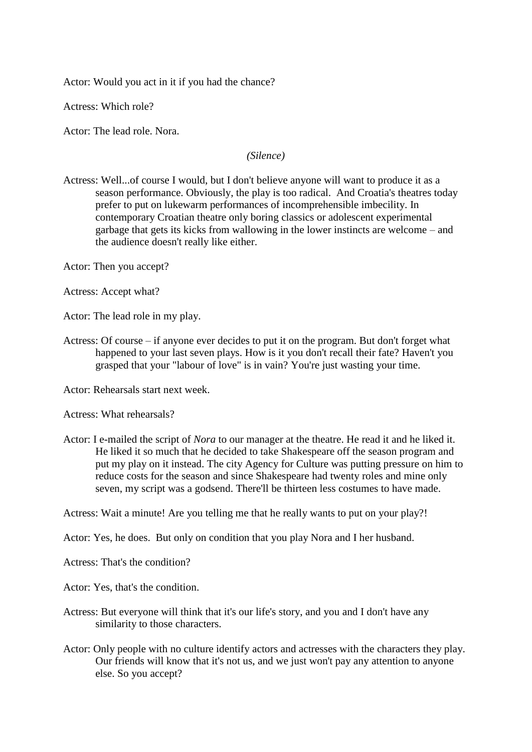Actor: Would you act in it if you had the chance?

Actress: Which role?

Actor: The lead role. Nora.

### *(Silence)*

Actress: Well...of course I would, but I don't believe anyone will want to produce it as a season performance. Obviously, the play is too radical. And Croatia's theatres today prefer to put on lukewarm performances of incomprehensible imbecility. In contemporary Croatian theatre only boring classics or adolescent experimental garbage that gets its kicks from wallowing in the lower instincts are welcome – and the audience doesn't really like either.

Actor: Then you accept?

Actress: Accept what?

Actor: The lead role in my play.

Actress: Of course – if anyone ever decides to put it on the program. But don't forget what happened to your last seven plays. How is it you don't recall their fate? Haven't you grasped that your "labour of love" is in vain? You're just wasting your time.

Actor: Rehearsals start next week.

Actress: What rehearsals?

Actor: I e-mailed the script of *Nora* to our manager at the theatre. He read it and he liked it. He liked it so much that he decided to take Shakespeare off the season program and put my play on it instead. The city Agency for Culture was putting pressure on him to reduce costs for the season and since Shakespeare had twenty roles and mine only seven, my script was a godsend. There'll be thirteen less costumes to have made.

Actress: Wait a minute! Are you telling me that he really wants to put on your play?!

Actor: Yes, he does. But only on condition that you play Nora and I her husband.

Actress: That's the condition?

Actor: Yes, that's the condition.

- Actress: But everyone will think that it's our life's story, and you and I don't have any similarity to those characters.
- Actor: Only people with no culture identify actors and actresses with the characters they play. Our friends will know that it's not us, and we just won't pay any attention to anyone else. So you accept?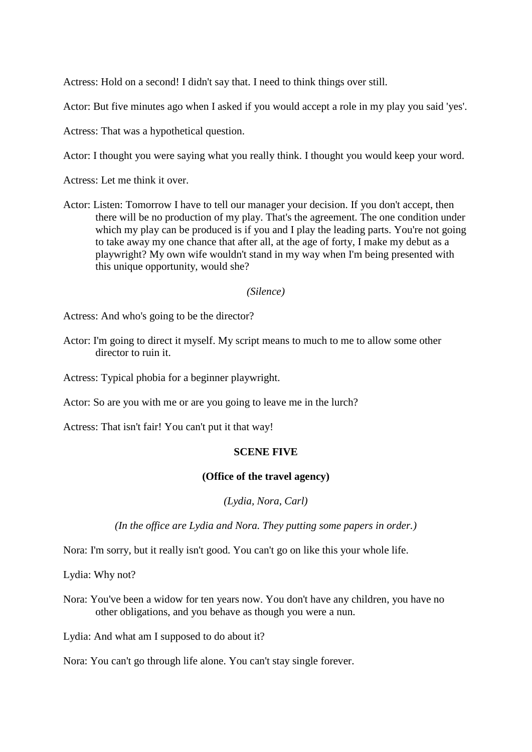Actress: Hold on a second! I didn't say that. I need to think things over still.

Actor: But five minutes ago when I asked if you would accept a role in my play you said 'yes'.

Actress: That was a hypothetical question.

Actor: I thought you were saying what you really think. I thought you would keep your word.

Actress: Let me think it over.

Actor: Listen: Tomorrow I have to tell our manager your decision. If you don't accept, then there will be no production of my play. That's the agreement. The one condition under which my play can be produced is if you and I play the leading parts. You're not going to take away my one chance that after all, at the age of forty, I make my debut as a playwright? My own wife wouldn't stand in my way when I'm being presented with this unique opportunity, would she?

# *(Silence)*

Actress: And who's going to be the director?

- Actor: I'm going to direct it myself. My script means to much to me to allow some other director to ruin it.
- Actress: Typical phobia for a beginner playwright.

Actor: So are you with me or are you going to leave me in the lurch?

Actress: That isn't fair! You can't put it that way!

# **SCENE FIVE**

# **(Office of the travel agency)**

*(Lydia, Nora, Carl)*

*(In the office are Lydia and Nora. They putting some papers in order.)*

Nora: I'm sorry, but it really isn't good. You can't go on like this your whole life.

Lydia: Why not?

Nora: You've been a widow for ten years now. You don't have any children, you have no other obligations, and you behave as though you were a nun.

Lydia: And what am I supposed to do about it?

Nora: You can't go through life alone. You can't stay single forever.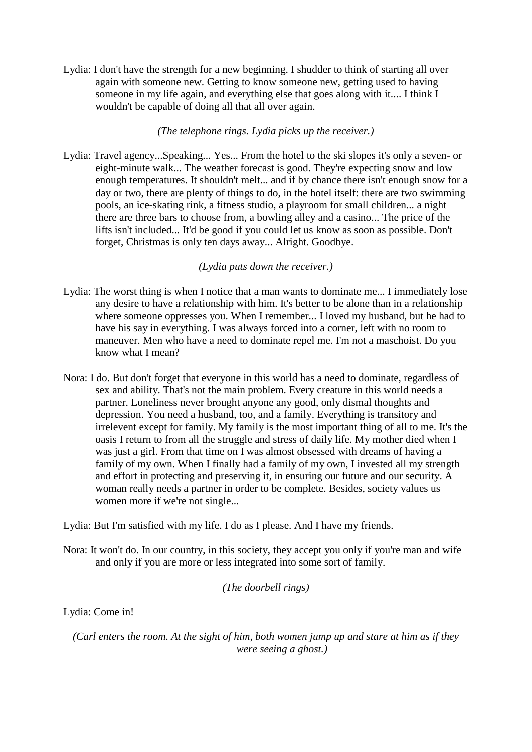Lydia: I don't have the strength for a new beginning. I shudder to think of starting all over again with someone new. Getting to know someone new, getting used to having someone in my life again, and everything else that goes along with it.... I think I wouldn't be capable of doing all that all over again.

# *(The telephone rings. Lydia picks up the receiver.)*

Lydia: Travel agency...Speaking... Yes... From the hotel to the ski slopes it's only a seven- or eight-minute walk... The weather forecast is good. They're expecting snow and low enough temperatures. It shouldn't melt... and if by chance there isn't enough snow for a day or two, there are plenty of things to do, in the hotel itself: there are two swimming pools, an ice-skating rink, a fitness studio, a playroom for small children... a night there are three bars to choose from, a bowling alley and a casino... The price of the lifts isn't included... It'd be good if you could let us know as soon as possible. Don't forget, Christmas is only ten days away... Alright. Goodbye.

*(Lydia puts down the receiver.)*

- Lydia: The worst thing is when I notice that a man wants to dominate me... I immediately lose any desire to have a relationship with him. It's better to be alone than in a relationship where someone oppresses you. When I remember... I loved my husband, but he had to have his say in everything. I was always forced into a corner, left with no room to maneuver. Men who have a need to dominate repel me. I'm not a maschoist. Do you know what I mean?
- Nora: I do. But don't forget that everyone in this world has a need to dominate, regardless of sex and ability. That's not the main problem. Every creature in this world needs a partner. Loneliness never brought anyone any good, only dismal thoughts and depression. You need a husband, too, and a family. Everything is transitory and irrelevent except for family. My family is the most important thing of all to me. It's the oasis I return to from all the struggle and stress of daily life. My mother died when I was just a girl. From that time on I was almost obsessed with dreams of having a family of my own. When I finally had a family of my own, I invested all my strength and effort in protecting and preserving it, in ensuring our future and our security. A woman really needs a partner in order to be complete. Besides, society values us women more if we're not single...

Lydia: But I'm satisfied with my life. I do as I please. And I have my friends.

Nora: It won't do. In our country, in this society, they accept you only if you're man and wife and only if you are more or less integrated into some sort of family.

*(The doorbell rings)*

Lydia: Come in!

*(Carl enters the room. At the sight of him, both women jump up and stare at him as if they were seeing a ghost.)*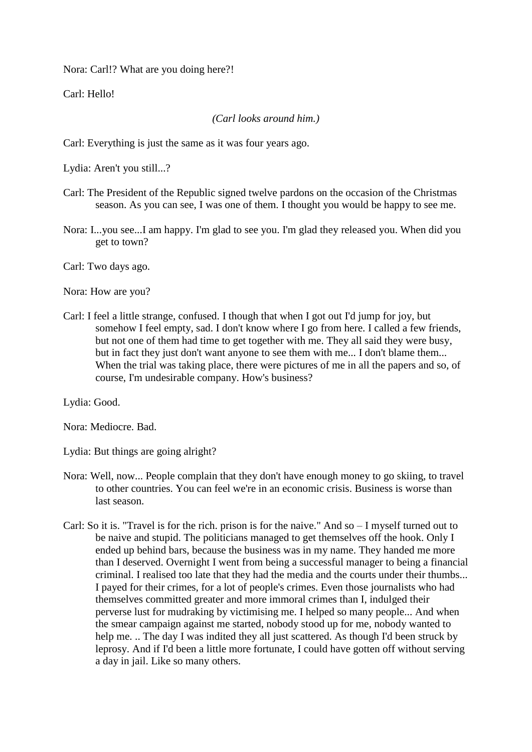Nora: Carl!? What are you doing here?!

Carl: Hello!

# *(Carl looks around him.)*

Carl: Everything is just the same as it was four years ago.

Lydia: Aren't you still...?

- Carl: The President of the Republic signed twelve pardons on the occasion of the Christmas season. As you can see, I was one of them. I thought you would be happy to see me.
- Nora: I...you see...I am happy. I'm glad to see you. I'm glad they released you. When did you get to town?

Carl: Two days ago.

Nora: How are you?

Carl: I feel a little strange, confused. I though that when I got out I'd jump for joy, but somehow I feel empty, sad. I don't know where I go from here. I called a few friends, but not one of them had time to get together with me. They all said they were busy, but in fact they just don't want anyone to see them with me... I don't blame them... When the trial was taking place, there were pictures of me in all the papers and so, of course, I'm undesirable company. How's business?

Lydia: Good.

Nora: Mediocre. Bad.

Lydia: But things are going alright?

- Nora: Well, now... People complain that they don't have enough money to go skiing, to travel to other countries. You can feel we're in an economic crisis. Business is worse than last season.
- Carl: So it is. "Travel is for the rich. prison is for the naive." And so I myself turned out to be naive and stupid. The politicians managed to get themselves off the hook. Only I ended up behind bars, because the business was in my name. They handed me more than I deserved. Overnight I went from being a successful manager to being a financial criminal. I realised too late that they had the media and the courts under their thumbs... I payed for their crimes, for a lot of people's crimes. Even those journalists who had themselves committed greater and more immoral crimes than I, indulged their perverse lust for mudraking by victimising me. I helped so many people... And when the smear campaign against me started, nobody stood up for me, nobody wanted to help me. .. The day I was indited they all just scattered. As though I'd been struck by leprosy. And if I'd been a little more fortunate, I could have gotten off without serving a day in jail. Like so many others.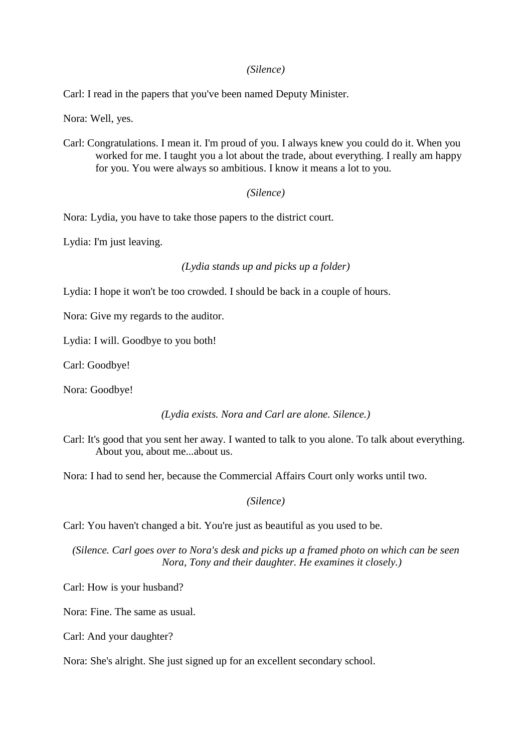### *(Silence)*

Carl: I read in the papers that you've been named Deputy Minister.

Nora: Well, yes.

Carl: Congratulations. I mean it. I'm proud of you. I always knew you could do it. When you worked for me. I taught you a lot about the trade, about everything. I really am happy for you. You were always so ambitious. I know it means a lot to you.

# *(Silence)*

Nora: Lydia, you have to take those papers to the district court.

Lydia: I'm just leaving.

# *(Lydia stands up and picks up a folder)*

Lydia: I hope it won't be too crowded. I should be back in a couple of hours.

Nora: Give my regards to the auditor.

Lydia: I will. Goodbye to you both!

Carl: Goodbye!

Nora: Goodbye!

# *(Lydia exists. Nora and Carl are alone. Silence.)*

Carl: It's good that you sent her away. I wanted to talk to you alone. To talk about everything. About you, about me...about us.

Nora: I had to send her, because the Commercial Affairs Court only works until two.

*(Silence)*

Carl: You haven't changed a bit. You're just as beautiful as you used to be.

*(Silence. Carl goes over to Nora's desk and picks up a framed photo on which can be seen Nora, Tony and their daughter. He examines it closely.)*

Carl: How is your husband?

Nora: Fine. The same as usual.

Carl: And your daughter?

Nora: She's alright. She just signed up for an excellent secondary school.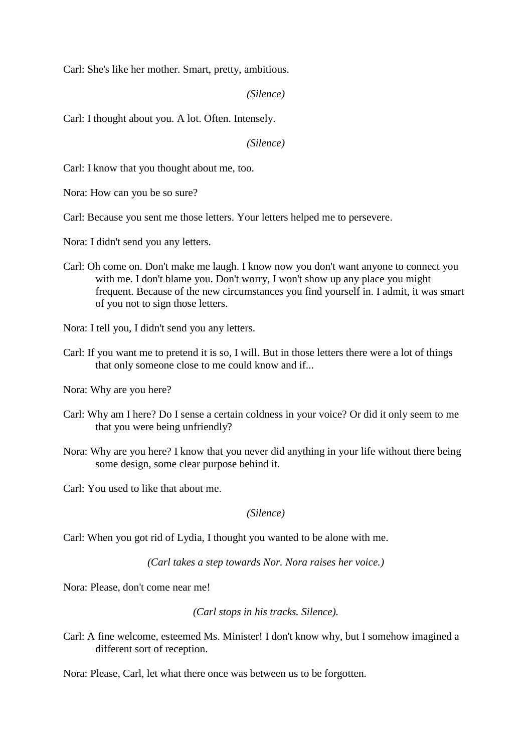Carl: She's like her mother. Smart, pretty, ambitious.

*(Silence)*

Carl: I thought about you. A lot. Often. Intensely.

*(Silence)*

Carl: I know that you thought about me, too.

Nora: How can you be so sure?

Carl: Because you sent me those letters. Your letters helped me to persevere.

Nora: I didn't send you any letters.

Carl: Oh come on. Don't make me laugh. I know now you don't want anyone to connect you with me. I don't blame you. Don't worry, I won't show up any place you might frequent. Because of the new circumstances you find yourself in. I admit, it was smart of you not to sign those letters.

Nora: I tell you, I didn't send you any letters.

Carl: If you want me to pretend it is so, I will. But in those letters there were a lot of things that only someone close to me could know and if...

Nora: Why are you here?

- Carl: Why am I here? Do I sense a certain coldness in your voice? Or did it only seem to me that you were being unfriendly?
- Nora: Why are you here? I know that you never did anything in your life without there being some design, some clear purpose behind it.

Carl: You used to like that about me.

*(Silence)*

Carl: When you got rid of Lydia, I thought you wanted to be alone with me.

*(Carl takes a step towards Nor. Nora raises her voice.)*

Nora: Please, don't come near me!

*(Carl stops in his tracks. Silence).*

Carl: A fine welcome, esteemed Ms. Minister! I don't know why, but I somehow imagined a different sort of reception.

Nora: Please, Carl, let what there once was between us to be forgotten.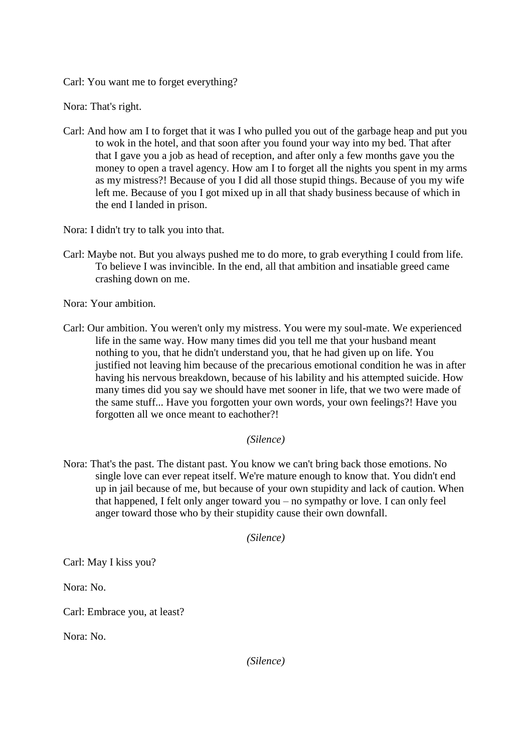Carl: You want me to forget everything?

Nora: That's right.

Carl: And how am I to forget that it was I who pulled you out of the garbage heap and put you to wok in the hotel, and that soon after you found your way into my bed. That after that I gave you a job as head of reception, and after only a few months gave you the money to open a travel agency. How am I to forget all the nights you spent in my arms as my mistress?! Because of you I did all those stupid things. Because of you my wife left me. Because of you I got mixed up in all that shady business because of which in the end I landed in prison.

Nora: I didn't try to talk you into that.

Carl: Maybe not. But you always pushed me to do more, to grab everything I could from life. To believe I was invincible. In the end, all that ambition and insatiable greed came crashing down on me.

Nora: Your ambition.

Carl: Our ambition. You weren't only my mistress. You were my soul-mate. We experienced life in the same way. How many times did you tell me that your husband meant nothing to you, that he didn't understand you, that he had given up on life. You justified not leaving him because of the precarious emotional condition he was in after having his nervous breakdown, because of his lability and his attempted suicide. How many times did you say we should have met sooner in life, that we two were made of the same stuff... Have you forgotten your own words, your own feelings?! Have you forgotten all we once meant to eachother?!

*(Silence)*

Nora: That's the past. The distant past. You know we can't bring back those emotions. No single love can ever repeat itself. We're mature enough to know that. You didn't end up in jail because of me, but because of your own stupidity and lack of caution. When that happened, I felt only anger toward you – no sympathy or love. I can only feel anger toward those who by their stupidity cause their own downfall.

| (Silence) |  |
|-----------|--|
|-----------|--|

Carl: May I kiss you?

Nora: No.

Carl: Embrace you, at least?

Nora: No.

*(Silence)*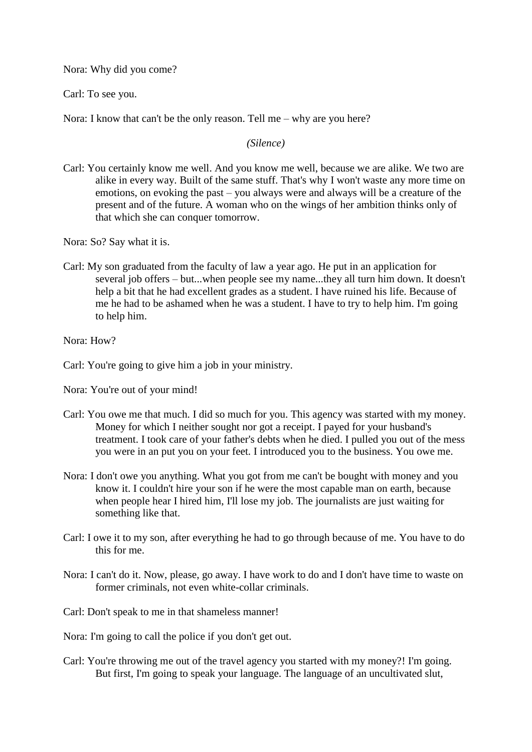Nora: Why did you come?

Carl: To see you.

Nora: I know that can't be the only reason. Tell me – why are you here?

*(Silence)*

Carl: You certainly know me well. And you know me well, because we are alike. We two are alike in every way. Built of the same stuff. That's why I won't waste any more time on emotions, on evoking the past – you always were and always will be a creature of the present and of the future. A woman who on the wings of her ambition thinks only of that which she can conquer tomorrow.

Nora: So? Say what it is.

Carl: My son graduated from the faculty of law a year ago. He put in an application for several job offers – but...when people see my name...they all turn him down. It doesn't help a bit that he had excellent grades as a student. I have ruined his life. Because of me he had to be ashamed when he was a student. I have to try to help him. I'm going to help him.

Nora: How?

Carl: You're going to give him a job in your ministry.

Nora: You're out of your mind!

- Carl: You owe me that much. I did so much for you. This agency was started with my money. Money for which I neither sought nor got a receipt. I payed for your husband's treatment. I took care of your father's debts when he died. I pulled you out of the mess you were in an put you on your feet. I introduced you to the business. You owe me.
- Nora: I don't owe you anything. What you got from me can't be bought with money and you know it. I couldn't hire your son if he were the most capable man on earth, because when people hear I hired him, I'll lose my job. The journalists are just waiting for something like that.
- Carl: I owe it to my son, after everything he had to go through because of me. You have to do this for me.
- Nora: I can't do it. Now, please, go away. I have work to do and I don't have time to waste on former criminals, not even white-collar criminals.
- Carl: Don't speak to me in that shameless manner!

Nora: I'm going to call the police if you don't get out.

Carl: You're throwing me out of the travel agency you started with my money?! I'm going. But first, I'm going to speak your language. The language of an uncultivated slut,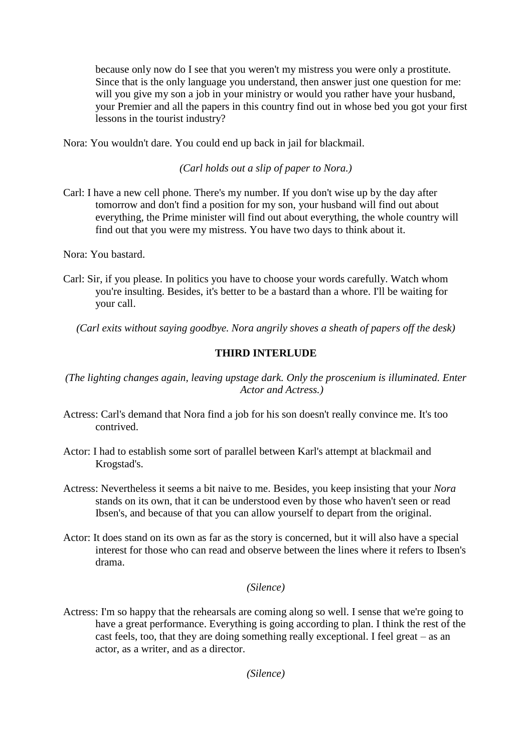because only now do I see that you weren't my mistress you were only a prostitute. Since that is the only language you understand, then answer just one question for me: will you give my son a job in your ministry or would you rather have your husband, your Premier and all the papers in this country find out in whose bed you got your first lessons in the tourist industry?

Nora: You wouldn't dare. You could end up back in jail for blackmail.

*(Carl holds out a slip of paper to Nora.)*

Carl: I have a new cell phone. There's my number. If you don't wise up by the day after tomorrow and don't find a position for my son, your husband will find out about everything, the Prime minister will find out about everything, the whole country will find out that you were my mistress. You have two days to think about it.

Nora: You bastard.

Carl: Sir, if you please. In politics you have to choose your words carefully. Watch whom you're insulting. Besides, it's better to be a bastard than a whore. I'll be waiting for your call.

*(Carl exits without saying goodbye. Nora angrily shoves a sheath of papers off the desk)*

# **THIRD INTERLUDE**

- *(The lighting changes again, leaving upstage dark. Only the proscenium is illuminated. Enter Actor and Actress.)*
- Actress: Carl's demand that Nora find a job for his son doesn't really convince me. It's too contrived.
- Actor: I had to establish some sort of parallel between Karl's attempt at blackmail and Krogstad's.
- Actress: Nevertheless it seems a bit naive to me. Besides, you keep insisting that your *Nora*  stands on its own, that it can be understood even by those who haven't seen or read Ibsen's, and because of that you can allow yourself to depart from the original.
- Actor: It does stand on its own as far as the story is concerned, but it will also have a special interest for those who can read and observe between the lines where it refers to Ibsen's drama.

# *(Silence)*

Actress: I'm so happy that the rehearsals are coming along so well. I sense that we're going to have a great performance. Everything is going according to plan. I think the rest of the cast feels, too, that they are doing something really exceptional. I feel great – as an actor, as a writer, and as a director.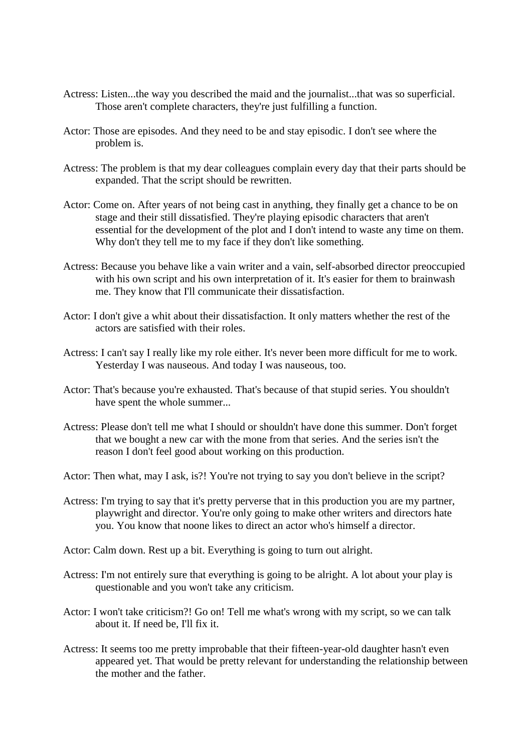- Actress: Listen...the way you described the maid and the journalist...that was so superficial. Those aren't complete characters, they're just fulfilling a function.
- Actor: Those are episodes. And they need to be and stay episodic. I don't see where the problem is.
- Actress: The problem is that my dear colleagues complain every day that their parts should be expanded. That the script should be rewritten.
- Actor: Come on. After years of not being cast in anything, they finally get a chance to be on stage and their still dissatisfied. They're playing episodic characters that aren't essential for the development of the plot and I don't intend to waste any time on them. Why don't they tell me to my face if they don't like something.
- Actress: Because you behave like a vain writer and a vain, self-absorbed director preoccupied with his own script and his own interpretation of it. It's easier for them to brainwash me. They know that I'll communicate their dissatisfaction.
- Actor: I don't give a whit about their dissatisfaction. It only matters whether the rest of the actors are satisfied with their roles.
- Actress: I can't say I really like my role either. It's never been more difficult for me to work. Yesterday I was nauseous. And today I was nauseous, too.
- Actor: That's because you're exhausted. That's because of that stupid series. You shouldn't have spent the whole summer...
- Actress: Please don't tell me what I should or shouldn't have done this summer. Don't forget that we bought a new car with the mone from that series. And the series isn't the reason I don't feel good about working on this production.
- Actor: Then what, may I ask, is?! You're not trying to say you don't believe in the script?
- Actress: I'm trying to say that it's pretty perverse that in this production you are my partner, playwright and director. You're only going to make other writers and directors hate you. You know that noone likes to direct an actor who's himself a director.
- Actor: Calm down. Rest up a bit. Everything is going to turn out alright.
- Actress: I'm not entirely sure that everything is going to be alright. A lot about your play is questionable and you won't take any criticism.
- Actor: I won't take criticism?! Go on! Tell me what's wrong with my script, so we can talk about it. If need be, I'll fix it.
- Actress: It seems too me pretty improbable that their fifteen-year-old daughter hasn't even appeared yet. That would be pretty relevant for understanding the relationship between the mother and the father.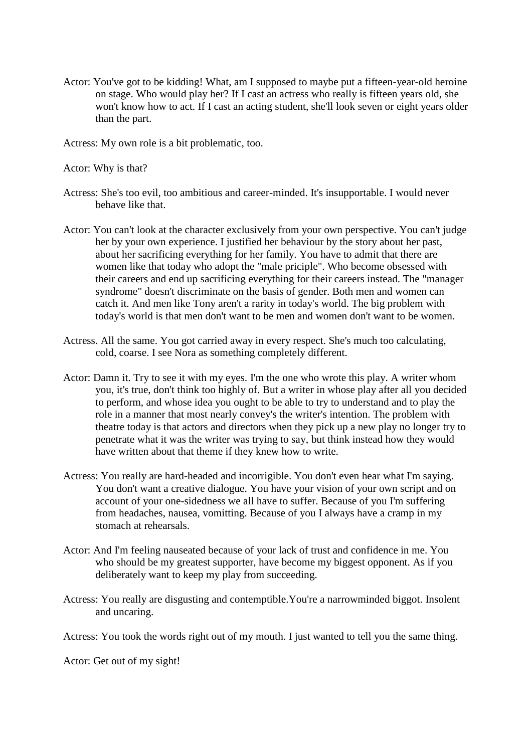- Actor: You've got to be kidding! What, am I supposed to maybe put a fifteen-year-old heroine on stage. Who would play her? If I cast an actress who really is fifteen years old, she won't know how to act. If I cast an acting student, she'll look seven or eight years older than the part.
- Actress: My own role is a bit problematic, too.
- Actor: Why is that?
- Actress: She's too evil, too ambitious and career-minded. It's insupportable. I would never behave like that.
- Actor: You can't look at the character exclusively from your own perspective. You can't judge her by your own experience. I justified her behaviour by the story about her past, about her sacrificing everything for her family. You have to admit that there are women like that today who adopt the "male priciple". Who become obsessed with their careers and end up sacrificing everything for their careers instead. The "manager syndrome" doesn't discriminate on the basis of gender. Both men and women can catch it. And men like Tony aren't a rarity in today's world. The big problem with today's world is that men don't want to be men and women don't want to be women.
- Actress. All the same. You got carried away in every respect. She's much too calculating, cold, coarse. I see Nora as something completely different.
- Actor: Damn it. Try to see it with my eyes. I'm the one who wrote this play. A writer whom you, it's true, don't think too highly of. But a writer in whose play after all you decided to perform, and whose idea you ought to be able to try to understand and to play the role in a manner that most nearly convey's the writer's intention. The problem with theatre today is that actors and directors when they pick up a new play no longer try to penetrate what it was the writer was trying to say, but think instead how they would have written about that theme if they knew how to write.
- Actress: You really are hard-headed and incorrigible. You don't even hear what I'm saying. You don't want a creative dialogue. You have your vision of your own script and on account of your one-sidedness we all have to suffer. Because of you I'm suffering from headaches, nausea, vomitting. Because of you I always have a cramp in my stomach at rehearsals.
- Actor: And I'm feeling nauseated because of your lack of trust and confidence in me. You who should be my greatest supporter, have become my biggest opponent. As if you deliberately want to keep my play from succeeding.
- Actress: You really are disgusting and contemptible.You're a narrowminded biggot. Insolent and uncaring.

Actress: You took the words right out of my mouth. I just wanted to tell you the same thing.

Actor: Get out of my sight!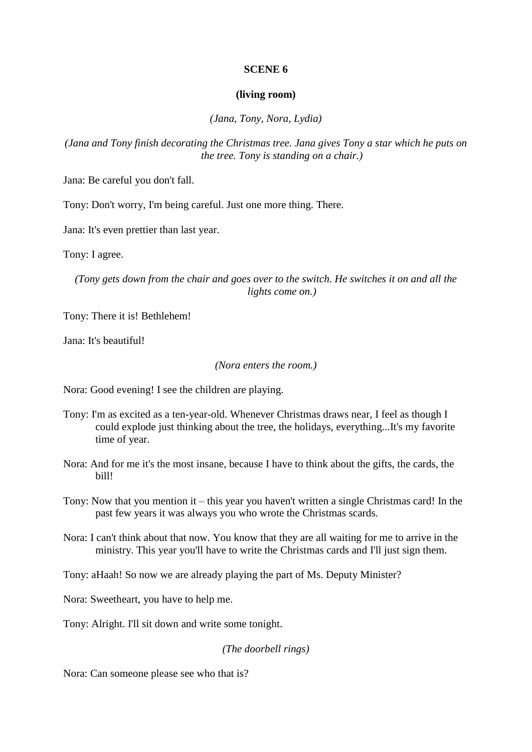### **SCENE 6**

### **(living room)**

*(Jana, Tony, Nora, Lydia)*

*(Jana and Tony finish decorating the Christmas tree. Jana gives Tony a star which he puts on the tree. Tony is standing on a chair.)*

Jana: Be careful you don't fall.

Tony: Don't worry, I'm being careful. Just one more thing. There.

Jana: It's even prettier than last year.

Tony: I agree.

*(Tony gets down from the chair and goes over to the switch. He switches it on and all the lights come on.)*

Tony: There it is! Bethlehem!

Jana: It's beautiful!

*(Nora enters the room.)*

Nora: Good evening! I see the children are playing.

- Tony: I'm as excited as a ten-year-old. Whenever Christmas draws near, I feel as though I could explode just thinking about the tree, the holidays, everything...It's my favorite time of year.
- Nora: And for me it's the most insane, because I have to think about the gifts, the cards, the bill!
- Tony: Now that you mention it this year you haven't written a single Christmas card! In the past few years it was always you who wrote the Christmas scards.
- Nora: I can't think about that now. You know that they are all waiting for me to arrive in the ministry. This year you'll have to write the Christmas cards and I'll just sign them.

Tony: aHaah! So now we are already playing the part of Ms. Deputy Minister?

Nora: Sweetheart, you have to help me.

Tony: Alright. I'll sit down and write some tonight.

*(The doorbell rings)*

Nora: Can someone please see who that is?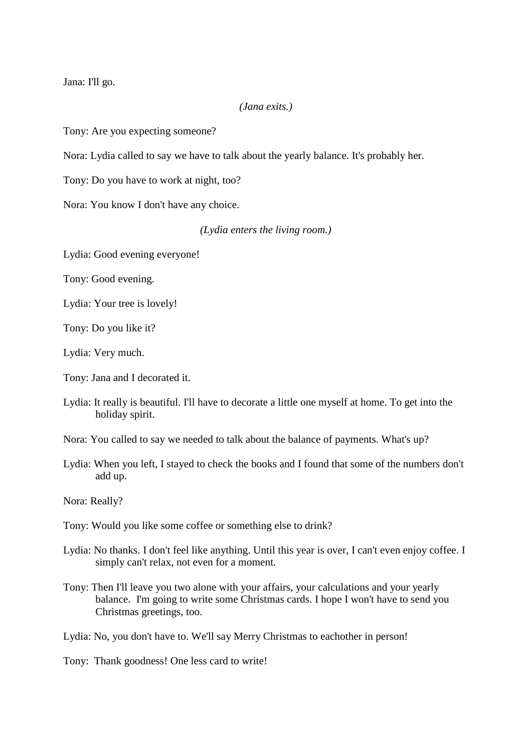Jana: I'll go.

### *(Jana exits.)*

Tony: Are you expecting someone?

Nora: Lydia called to say we have to talk about the yearly balance. It's probably her.

Tony: Do you have to work at night, too?

Nora: You know I don't have any choice.

*(Lydia enters the living room.)*

Lydia: Good evening everyone!

Tony: Good evening.

Lydia: Your tree is lovely!

Tony: Do you like it?

Lydia: Very much.

Tony: Jana and I decorated it.

Lydia: It really is beautiful. I'll have to decorate a little one myself at home. To get into the holiday spirit.

Nora: You called to say we needed to talk about the balance of payments. What's up?

Lydia: When you left, I stayed to check the books and I found that some of the numbers don't add up.

Nora: Really?

Tony: Would you like some coffee or something else to drink?

- Lydia: No thanks. I don't feel like anything. Until this year is over, I can't even enjoy coffee. I simply can't relax, not even for a moment.
- Tony: Then I'll leave you two alone with your affairs, your calculations and your yearly balance. I'm going to write some Christmas cards. I hope I won't have to send you Christmas greetings, too.

Lydia: No, you don't have to. We'll say Merry Christmas to eachother in person!

Tony: Thank goodness! One less card to write!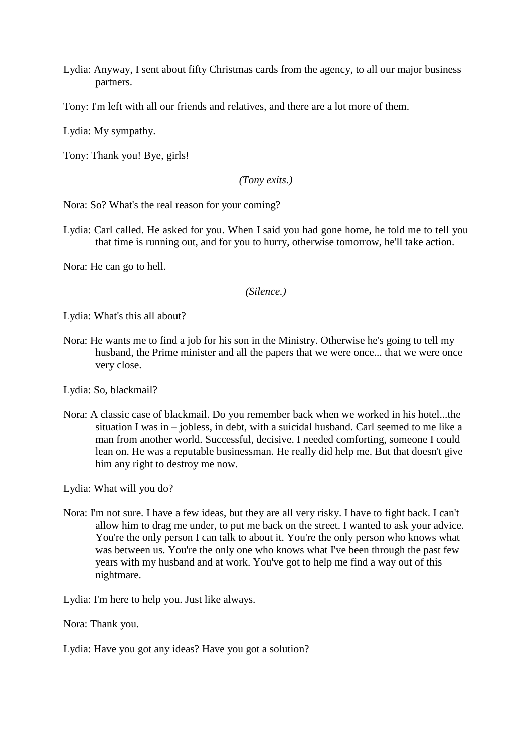Lydia: Anyway, I sent about fifty Christmas cards from the agency, to all our major business partners.

Tony: I'm left with all our friends and relatives, and there are a lot more of them.

Lydia: My sympathy.

Tony: Thank you! Bye, girls!

*(Tony exits.)*

Nora: So? What's the real reason for your coming?

Lydia: Carl called. He asked for you. When I said you had gone home, he told me to tell you that time is running out, and for you to hurry, otherwise tomorrow, he'll take action.

Nora: He can go to hell.

*(Silence.)*

Lydia: What's this all about?

Nora: He wants me to find a job for his son in the Ministry. Otherwise he's going to tell my husband, the Prime minister and all the papers that we were once... that we were once very close.

Lydia: So, blackmail?

Nora: A classic case of blackmail. Do you remember back when we worked in his hotel...the situation I was in – jobless, in debt, with a suicidal husband. Carl seemed to me like a man from another world. Successful, decisive. I needed comforting, someone I could lean on. He was a reputable businessman. He really did help me. But that doesn't give him any right to destroy me now.

Lydia: What will you do?

Nora: I'm not sure. I have a few ideas, but they are all very risky. I have to fight back. I can't allow him to drag me under, to put me back on the street. I wanted to ask your advice. You're the only person I can talk to about it. You're the only person who knows what was between us. You're the only one who knows what I've been through the past few years with my husband and at work. You've got to help me find a way out of this nightmare.

Lydia: I'm here to help you. Just like always.

Nora: Thank you.

Lydia: Have you got any ideas? Have you got a solution?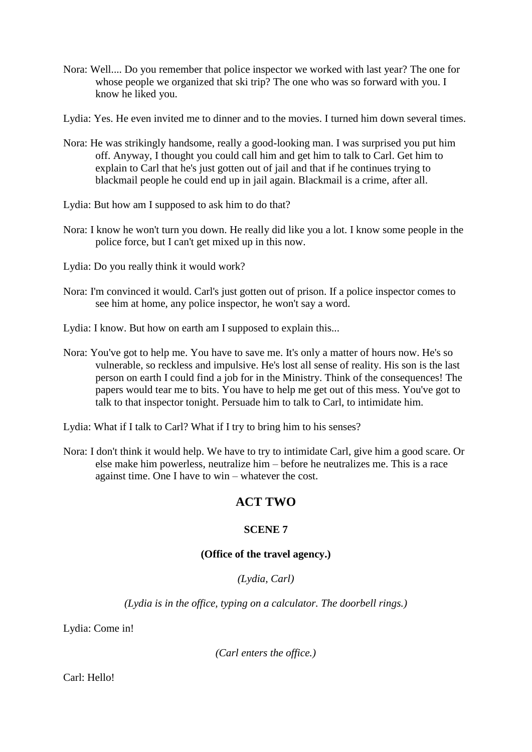- Nora: Well.... Do you remember that police inspector we worked with last year? The one for whose people we organized that ski trip? The one who was so forward with you. I know he liked you.
- Lydia: Yes. He even invited me to dinner and to the movies. I turned him down several times.
- Nora: He was strikingly handsome, really a good-looking man. I was surprised you put him off. Anyway, I thought you could call him and get him to talk to Carl. Get him to explain to Carl that he's just gotten out of jail and that if he continues trying to blackmail people he could end up in jail again. Blackmail is a crime, after all.

Lydia: But how am I supposed to ask him to do that?

Nora: I know he won't turn you down. He really did like you a lot. I know some people in the police force, but I can't get mixed up in this now.

Lydia: Do you really think it would work?

Nora: I'm convinced it would. Carl's just gotten out of prison. If a police inspector comes to see him at home, any police inspector, he won't say a word.

Lydia: I know. But how on earth am I supposed to explain this...

Nora: You've got to help me. You have to save me. It's only a matter of hours now. He's so vulnerable, so reckless and impulsive. He's lost all sense of reality. His son is the last person on earth I could find a job for in the Ministry. Think of the consequences! The papers would tear me to bits. You have to help me get out of this mess. You've got to talk to that inspector tonight. Persuade him to talk to Carl, to intimidate him.

Lydia: What if I talk to Carl? What if I try to bring him to his senses?

Nora: I don't think it would help. We have to try to intimidate Carl, give him a good scare. Or else make him powerless, neutralize him – before he neutralizes me. This is a race against time. One I have to win – whatever the cost.

# **ACT TWO**

# **SCENE 7**

# **(Office of the travel agency.)**

*(Lydia, Carl)*

*(Lydia is in the office, typing on a calculator. The doorbell rings.)*

Lydia: Come in!

*(Carl enters the office.)*

Carl: Hello!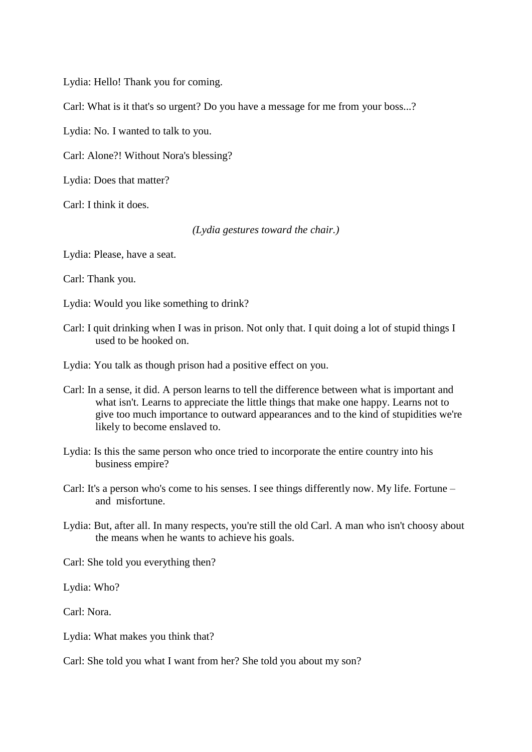Lydia: Hello! Thank you for coming.

Carl: What is it that's so urgent? Do you have a message for me from your boss...?

Lydia: No. I wanted to talk to you.

Carl: Alone?! Without Nora's blessing?

Lydia: Does that matter?

Carl: I think it does.

*(Lydia gestures toward the chair.)*

Lydia: Please, have a seat.

Carl: Thank you.

Lydia: Would you like something to drink?

Carl: I quit drinking when I was in prison. Not only that. I quit doing a lot of stupid things I used to be hooked on.

Lydia: You talk as though prison had a positive effect on you.

Carl: In a sense, it did. A person learns to tell the difference between what is important and what isn't. Learns to appreciate the little things that make one happy. Learns not to give too much importance to outward appearances and to the kind of stupidities we're likely to become enslaved to.

Lydia: Is this the same person who once tried to incorporate the entire country into his business empire?

- Carl: It's a person who's come to his senses. I see things differently now. My life. Fortune and misfortune.
- Lydia: But, after all. In many respects, you're still the old Carl. A man who isn't choosy about the means when he wants to achieve his goals.

Carl: She told you everything then?

Lydia: Who?

Carl: Nora.

Lydia: What makes you think that?

Carl: She told you what I want from her? She told you about my son?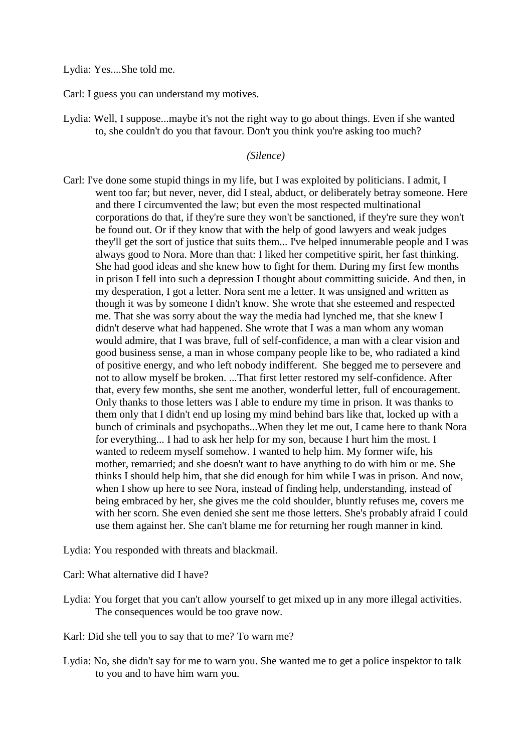Lydia: Yes....She told me.

Carl: I guess you can understand my motives.

Lydia: Well, I suppose...maybe it's not the right way to go about things. Even if she wanted to, she couldn't do you that favour. Don't you think you're asking too much?

### *(Silence)*

Carl: I've done some stupid things in my life, but I was exploited by politicians. I admit, I went too far; but never, never, did I steal, abduct, or deliberately betray someone. Here and there I circumvented the law; but even the most respected multinational corporations do that, if they're sure they won't be sanctioned, if they're sure they won't be found out. Or if they know that with the help of good lawyers and weak judges they'll get the sort of justice that suits them... I've helped innumerable people and I was always good to Nora. More than that: I liked her competitive spirit, her fast thinking. She had good ideas and she knew how to fight for them. During my first few months in prison I fell into such a depression I thought about committing suicide. And then, in my desperation, I got a letter. Nora sent me a letter. It was unsigned and written as though it was by someone I didn't know. She wrote that she esteemed and respected me. That she was sorry about the way the media had lynched me, that she knew I didn't deserve what had happened. She wrote that I was a man whom any woman would admire, that I was brave, full of self-confidence, a man with a clear vision and good business sense, a man in whose company people like to be, who radiated a kind of positive energy, and who left nobody indifferent. She begged me to persevere and not to allow myself be broken. ...That first letter restored my self-confidence. After that, every few months, she sent me another, wonderful letter, full of encouragement. Only thanks to those letters was I able to endure my time in prison. It was thanks to them only that I didn't end up losing my mind behind bars like that, locked up with a bunch of criminals and psychopaths...When they let me out, I came here to thank Nora for everything... I had to ask her help for my son, because I hurt him the most. I wanted to redeem myself somehow. I wanted to help him. My former wife, his mother, remarried; and she doesn't want to have anything to do with him or me. She thinks I should help him, that she did enough for him while I was in prison. And now, when I show up here to see Nora, instead of finding help, understanding, instead of being embraced by her, she gives me the cold shoulder, bluntly refuses me, covers me with her scorn. She even denied she sent me those letters. She's probably afraid I could use them against her. She can't blame me for returning her rough manner in kind.

Lydia: You responded with threats and blackmail.

Carl: What alternative did I have?

Lydia: You forget that you can't allow yourself to get mixed up in any more illegal activities. The consequences would be too grave now.

Karl: Did she tell you to say that to me? To warn me?

Lydia: No, she didn't say for me to warn you. She wanted me to get a police inspektor to talk to you and to have him warn you.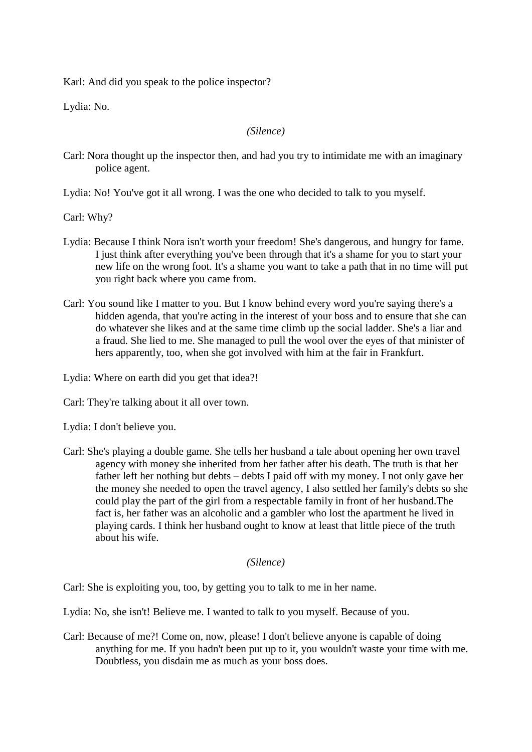Karl: And did you speak to the police inspector?

Lydia: No.

### *(Silence)*

Carl: Nora thought up the inspector then, and had you try to intimidate me with an imaginary police agent.

Lydia: No! You've got it all wrong. I was the one who decided to talk to you myself.

Carl: Why?

- Lydia: Because I think Nora isn't worth your freedom! She's dangerous, and hungry for fame. I just think after everything you've been through that it's a shame for you to start your new life on the wrong foot. It's a shame you want to take a path that in no time will put you right back where you came from.
- Carl: You sound like I matter to you. But I know behind every word you're saying there's a hidden agenda, that you're acting in the interest of your boss and to ensure that she can do whatever she likes and at the same time climb up the social ladder. She's a liar and a fraud. She lied to me. She managed to pull the wool over the eyes of that minister of hers apparently, too, when she got involved with him at the fair in Frankfurt.

Lydia: Where on earth did you get that idea?!

Carl: They're talking about it all over town.

Lydia: I don't believe you.

Carl: She's playing a double game. She tells her husband a tale about opening her own travel agency with money she inherited from her father after his death. The truth is that her father left her nothing but debts – debts I paid off with my money. I not only gave her the money she needed to open the travel agency, I also settled her family's debts so she could play the part of the girl from a respectable family in front of her husband.The fact is, her father was an alcoholic and a gambler who lost the apartment he lived in playing cards. I think her husband ought to know at least that little piece of the truth about his wife.

# *(Silence)*

Carl: She is exploiting you, too, by getting you to talk to me in her name.

Lydia: No, she isn't! Believe me. I wanted to talk to you myself. Because of you.

Carl: Because of me?! Come on, now, please! I don't believe anyone is capable of doing anything for me. If you hadn't been put up to it, you wouldn't waste your time with me. Doubtless, you disdain me as much as your boss does.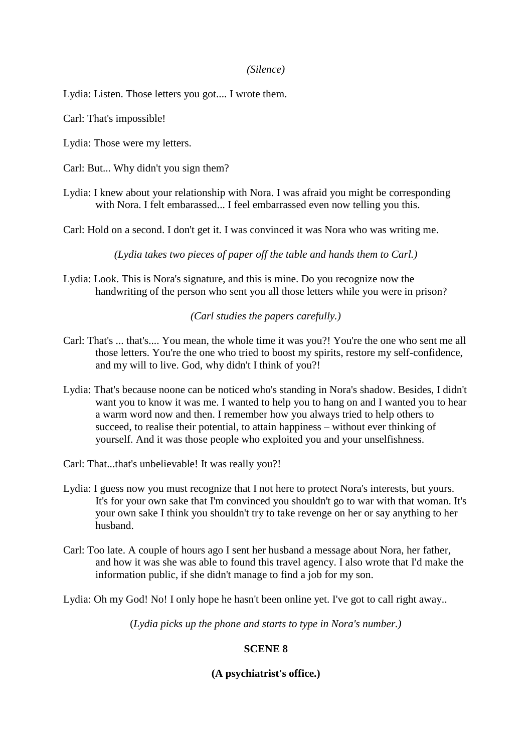### *(Silence)*

Lydia: Listen. Those letters you got.... I wrote them.

Carl: That's impossible!

Lydia: Those were my letters.

Carl: But... Why didn't you sign them?

Lydia: I knew about your relationship with Nora. I was afraid you might be corresponding with Nora. I felt embarassed... I feel embarrassed even now telling you this.

Carl: Hold on a second. I don't get it. I was convinced it was Nora who was writing me.

*(Lydia takes two pieces of paper off the table and hands them to Carl.)*

Lydia: Look. This is Nora's signature, and this is mine. Do you recognize now the handwriting of the person who sent you all those letters while you were in prison?

*(Carl studies the papers carefully.)*

- Carl: That's ... that's.... You mean, the whole time it was you?! You're the one who sent me all those letters. You're the one who tried to boost my spirits, restore my self-confidence, and my will to live. God, why didn't I think of you?!
- Lydia: That's because noone can be noticed who's standing in Nora's shadow. Besides, I didn't want you to know it was me. I wanted to help you to hang on and I wanted you to hear a warm word now and then. I remember how you always tried to help others to succeed, to realise their potential, to attain happiness – without ever thinking of yourself. And it was those people who exploited you and your unselfishness.
- Carl: That...that's unbelievable! It was really you?!
- Lydia: I guess now you must recognize that I not here to protect Nora's interests, but yours. It's for your own sake that I'm convinced you shouldn't go to war with that woman. It's your own sake I think you shouldn't try to take revenge on her or say anything to her husband.
- Carl: Too late. A couple of hours ago I sent her husband a message about Nora, her father, and how it was she was able to found this travel agency. I also wrote that I'd make the information public, if she didn't manage to find a job for my son.

Lydia: Oh my God! No! I only hope he hasn't been online yet. I've got to call right away..

(*Lydia picks up the phone and starts to type in Nora's number.)*

# **SCENE 8**

# **(A psychiatrist's office.)**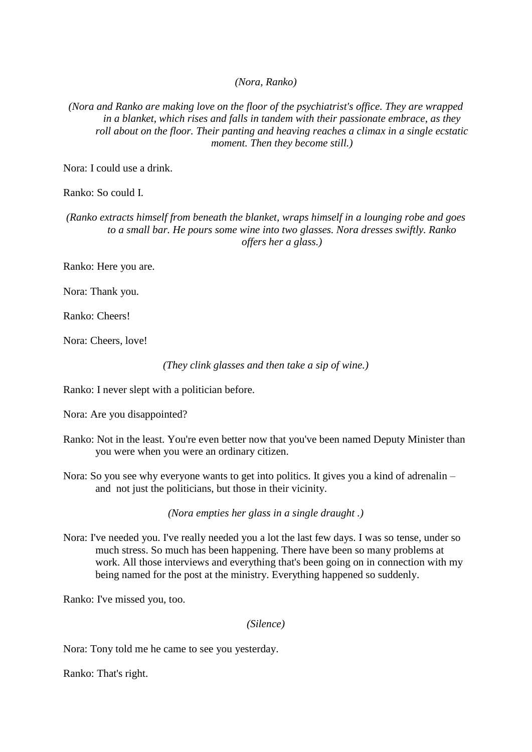*(Nora, Ranko)*

*(Nora and Ranko are making love on the floor of the psychiatrist's office. They are wrapped in a blanket, which rises and falls in tandem with their passionate embrace, as they roll about on the floor. Their panting and heaving reaches a climax in a single ecstatic moment. Then they become still.)*

Nora: I could use a drink.

Ranko: So could I.

*(Ranko extracts himself from beneath the blanket, wraps himself in a lounging robe and goes to a small bar. He pours some wine into two glasses. Nora dresses swiftly. Ranko offers her a glass.)*

Ranko: Here you are.

Nora: Thank you.

Ranko: Cheers!

Nora: Cheers, love!

*(They clink glasses and then take a sip of wine.)*

Ranko: I never slept with a politician before.

Nora: Are you disappointed?

- Ranko: Not in the least. You're even better now that you've been named Deputy Minister than you were when you were an ordinary citizen.
- Nora: So you see why everyone wants to get into politics. It gives you a kind of adrenalin and not just the politicians, but those in their vicinity.

*(Nora empties her glass in a single draught .)*

Nora: I've needed you. I've really needed you a lot the last few days. I was so tense, under so much stress. So much has been happening. There have been so many problems at work. All those interviews and everything that's been going on in connection with my being named for the post at the ministry. Everything happened so suddenly.

Ranko: I've missed you, too.

*(Silence)*

Nora: Tony told me he came to see you yesterday.

Ranko: That's right.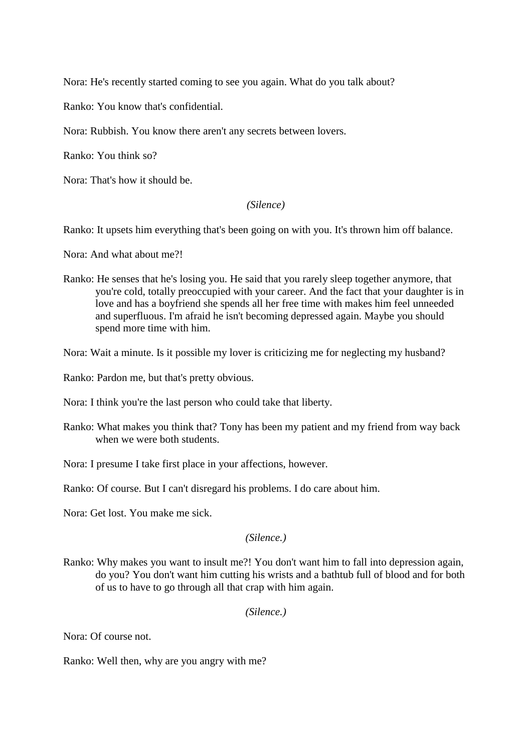Nora: He's recently started coming to see you again. What do you talk about?

Ranko: You know that's confidential.

Nora: Rubbish. You know there aren't any secrets between lovers.

Ranko: You think so?

Nora: That's how it should be.

### *(Silence)*

Ranko: It upsets him everything that's been going on with you. It's thrown him off balance.

Nora: And what about me?!

Ranko: He senses that he's losing you. He said that you rarely sleep together anymore, that you're cold, totally preoccupied with your career. And the fact that your daughter is in love and has a boyfriend she spends all her free time with makes him feel unneeded and superfluous. I'm afraid he isn't becoming depressed again. Maybe you should spend more time with him.

Nora: Wait a minute. Is it possible my lover is criticizing me for neglecting my husband?

Ranko: Pardon me, but that's pretty obvious.

Nora: I think you're the last person who could take that liberty.

- Ranko: What makes you think that? Tony has been my patient and my friend from way back when we were both students.
- Nora: I presume I take first place in your affections, however.
- Ranko: Of course. But I can't disregard his problems. I do care about him.

Nora: Get lost. You make me sick.

*(Silence.)*

Ranko: Why makes you want to insult me?! You don't want him to fall into depression again, do you? You don't want him cutting his wrists and a bathtub full of blood and for both of us to have to go through all that crap with him again.

*(Silence.)*

Nora: Of course not.

Ranko: Well then, why are you angry with me?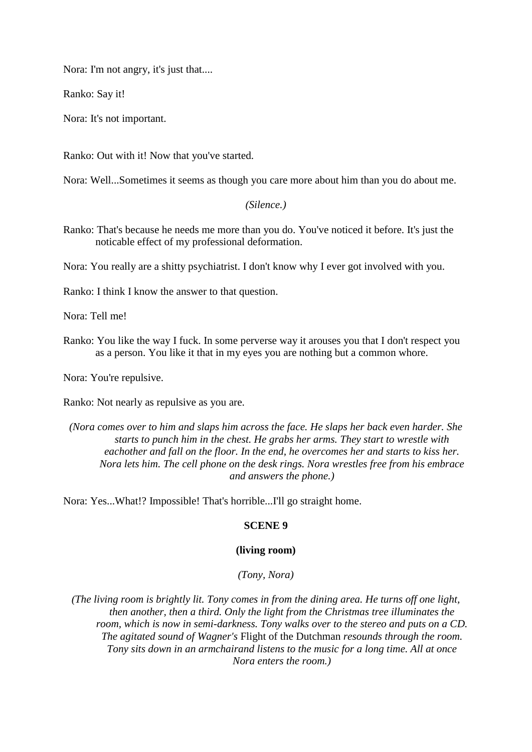Nora: I'm not angry, it's just that....

Ranko: Say it!

Nora: It's not important.

Ranko: Out with it! Now that you've started.

Nora: Well...Sometimes it seems as though you care more about him than you do about me.

*(Silence.)*

Ranko: That's because he needs me more than you do. You've noticed it before. It's just the noticable effect of my professional deformation.

Nora: You really are a shitty psychiatrist. I don't know why I ever got involved with you.

Ranko: I think I know the answer to that question.

Nora: Tell me!

Ranko: You like the way I fuck. In some perverse way it arouses you that I don't respect you as a person. You like it that in my eyes you are nothing but a common whore.

Nora: You're repulsive.

Ranko: Not nearly as repulsive as you are.

*(Nora comes over to him and slaps him across the face. He slaps her back even harder. She starts to punch him in the chest. He grabs her arms. They start to wrestle with eachother and fall on the floor. In the end, he overcomes her and starts to kiss her. Nora lets him. The cell phone on the desk rings. Nora wrestles free from his embrace and answers the phone.)*

Nora: Yes...What!? Impossible! That's horrible...I'll go straight home.

# **SCENE 9**

# **(living room)**

*(Tony, Nora)*

*(The living room is brightly lit. Tony comes in from the dining area. He turns off one light, then another, then a third. Only the light from the Christmas tree illuminates the room, which is now in semi-darkness. Tony walks over to the stereo and puts on a CD. The agitated sound of Wagner's* Flight of the Dutchman *resounds through the room. Tony sits down in an armchairand listens to the music for a long time. All at once Nora enters the room.)*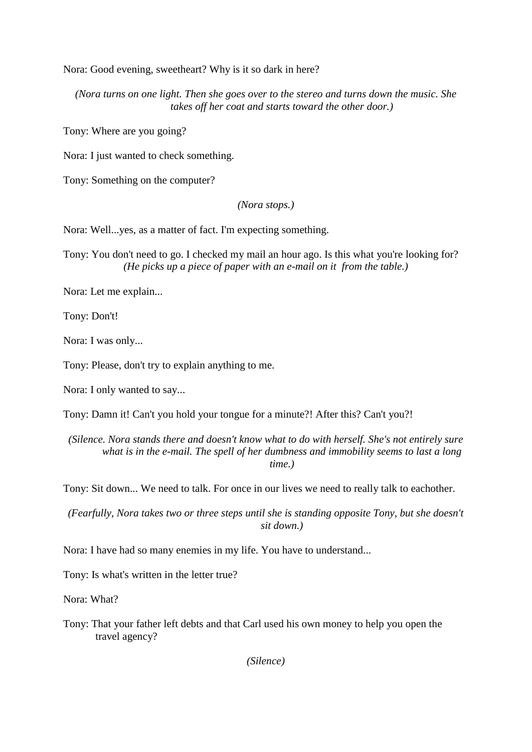Nora: Good evening, sweetheart? Why is it so dark in here?

*(Nora turns on one light. Then she goes over to the stereo and turns down the music. She takes off her coat and starts toward the other door.)*

Tony: Where are you going?

Nora: I just wanted to check something.

Tony: Something on the computer?

*(Nora stops.)*

Nora: Well...yes, as a matter of fact. I'm expecting something.

Tony: You don't need to go. I checked my mail an hour ago. Is this what you're looking for? *(He picks up a piece of paper with an e-mail on it from the table.)*

Nora: Let me explain...

Tony: Don't!

Nora: I was only...

Tony: Please, don't try to explain anything to me.

Nora: I only wanted to say...

Tony: Damn it! Can't you hold your tongue for a minute?! After this? Can't you?!

*(Silence. Nora stands there and doesn't know what to do with herself. She's not entirely sure what is in the e-mail. The spell of her dumbness and immobility seems to last a long time.)*

Tony: Sit down... We need to talk. For once in our lives we need to really talk to eachother.

*(Fearfully, Nora takes two or three steps until she is standing opposite Tony, but she doesn't sit down.)*

Nora: I have had so many enemies in my life. You have to understand...

Tony: Is what's written in the letter true?

Nora: What?

Tony: That your father left debts and that Carl used his own money to help you open the travel agency?

*(Silence)*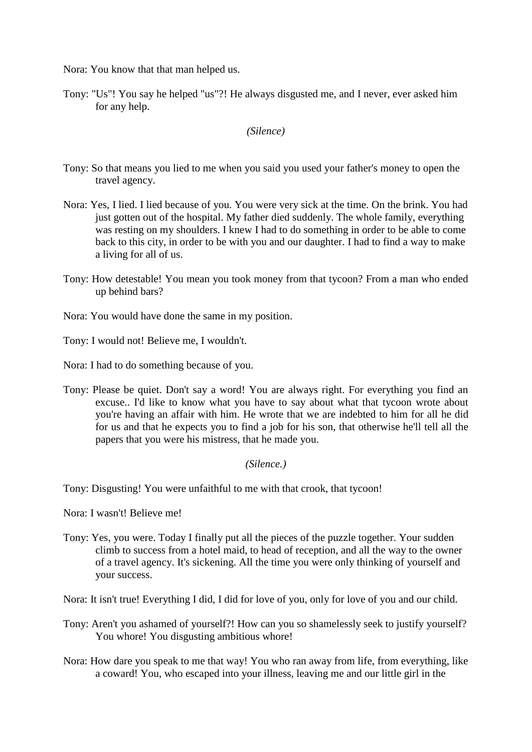Nora: You know that that man helped us.

Tony: "Us"! You say he helped "us"?! He always disgusted me, and I never, ever asked him for any help.

### *(Silence)*

- Tony: So that means you lied to me when you said you used your father's money to open the travel agency.
- Nora: Yes, I lied. I lied because of you. You were very sick at the time. On the brink. You had just gotten out of the hospital. My father died suddenly. The whole family, everything was resting on my shoulders. I knew I had to do something in order to be able to come back to this city, in order to be with you and our daughter. I had to find a way to make a living for all of us.
- Tony: How detestable! You mean you took money from that tycoon? From a man who ended up behind bars?
- Nora: You would have done the same in my position.

Tony: I would not! Believe me, I wouldn't.

Nora: I had to do something because of you.

Tony: Please be quiet. Don't say a word! You are always right. For everything you find an excuse.. I'd like to know what you have to say about what that tycoon wrote about you're having an affair with him. He wrote that we are indebted to him for all he did for us and that he expects you to find a job for his son, that otherwise he'll tell all the papers that you were his mistress, that he made you.

# *(Silence.)*

Tony: Disgusting! You were unfaithful to me with that crook, that tycoon!

Nora: I wasn't! Believe me!

Tony: Yes, you were. Today I finally put all the pieces of the puzzle together. Your sudden climb to success from a hotel maid, to head of reception, and all the way to the owner of a travel agency. It's sickening. All the time you were only thinking of yourself and your success.

Nora: It isn't true! Everything I did, I did for love of you, only for love of you and our child.

- Tony: Aren't you ashamed of yourself?! How can you so shamelessly seek to justify yourself? You whore! You disgusting ambitious whore!
- Nora: How dare you speak to me that way! You who ran away from life, from everything, like a coward! You, who escaped into your illness, leaving me and our little girl in the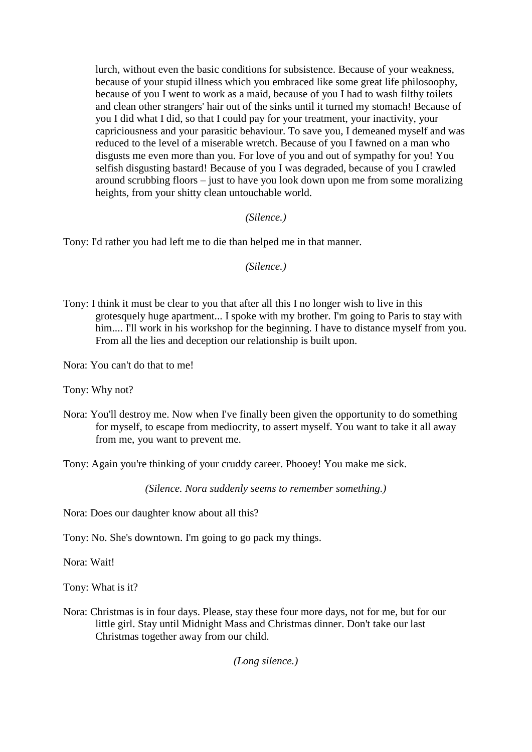lurch, without even the basic conditions for subsistence. Because of your weakness, because of your stupid illness which you embraced like some great life philosoophy, because of you I went to work as a maid, because of you I had to wash filthy toilets and clean other strangers' hair out of the sinks until it turned my stomach! Because of you I did what I did, so that I could pay for your treatment, your inactivity, your capriciousness and your parasitic behaviour. To save you, I demeaned myself and was reduced to the level of a miserable wretch. Because of you I fawned on a man who disgusts me even more than you. For love of you and out of sympathy for you! You selfish disgusting bastard! Because of you I was degraded, because of you I crawled around scrubbing floors – just to have you look down upon me from some moralizing heights, from your shitty clean untouchable world.

# *(Silence.)*

Tony: I'd rather you had left me to die than helped me in that manner.

*(Silence.)*

Tony: I think it must be clear to you that after all this I no longer wish to live in this grotesquely huge apartment... I spoke with my brother. I'm going to Paris to stay with him.... I'll work in his workshop for the beginning. I have to distance myself from you. From all the lies and deception our relationship is built upon.

Nora: You can't do that to me!

Tony: Why not?

Nora: You'll destroy me. Now when I've finally been given the opportunity to do something for myself, to escape from mediocrity, to assert myself. You want to take it all away from me, you want to prevent me.

Tony: Again you're thinking of your cruddy career. Phooey! You make me sick.

*(Silence. Nora suddenly seems to remember something.)*

Nora: Does our daughter know about all this?

Tony: No. She's downtown. I'm going to go pack my things.

Nora: Wait!

Tony: What is it?

Nora: Christmas is in four days. Please, stay these four more days, not for me, but for our little girl. Stay until Midnight Mass and Christmas dinner. Don't take our last Christmas together away from our child.

*(Long silence.)*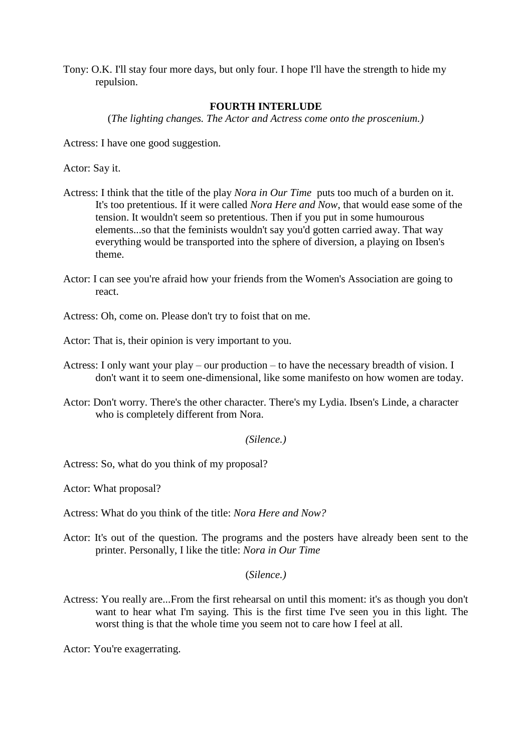Tony: O.K. I'll stay four more days, but only four. I hope I'll have the strength to hide my repulsion.

### **FOURTH INTERLUDE**

(*The lighting changes. The Actor and Actress come onto the proscenium.)*

Actress: I have one good suggestion.

Actor: Say it.

- Actress: I think that the title of the play *Nora in Our Time* puts too much of a burden on it. It's too pretentious. If it were called *Nora Here and Now*, that would ease some of the tension. It wouldn't seem so pretentious. Then if you put in some humourous elements...so that the feminists wouldn't say you'd gotten carried away. That way everything would be transported into the sphere of diversion, a playing on Ibsen's theme.
- Actor: I can see you're afraid how your friends from the Women's Association are going to react.

Actress: Oh, come on. Please don't try to foist that on me.

Actor: That is, their opinion is very important to you.

- Actress: I only want your play our production to have the necessary breadth of vision. I don't want it to seem one-dimensional, like some manifesto on how women are today.
- Actor: Don't worry. There's the other character. There's my Lydia. Ibsen's Linde, a character who is completely different from Nora.

#### *(Silence.)*

Actress: So, what do you think of my proposal?

Actor: What proposal?

Actress: What do you think of the title: *Nora Here and Now?*

Actor: It's out of the question. The programs and the posters have already been sent to the printer. Personally, I like the title: *Nora in Our Time* 

### (*Silence.)*

Actress: You really are...From the first rehearsal on until this moment: it's as though you don't want to hear what I'm saying. This is the first time I've seen you in this light. The worst thing is that the whole time you seem not to care how I feel at all.

Actor: You're exagerrating.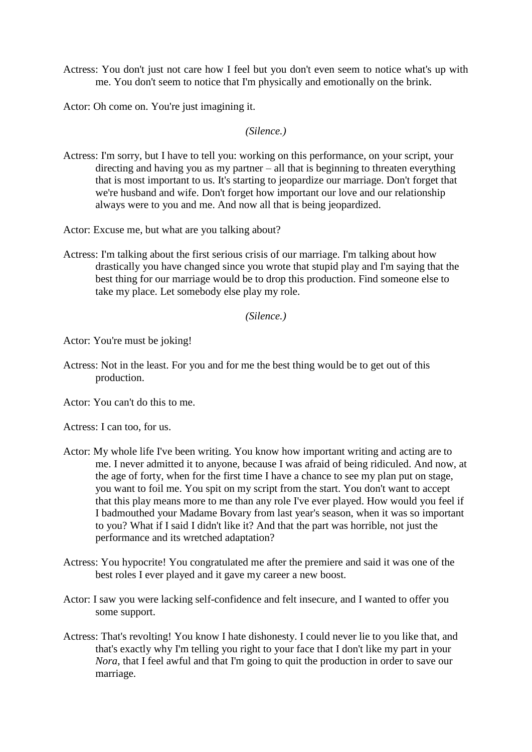Actress: You don't just not care how I feel but you don't even seem to notice what's up with me. You don't seem to notice that I'm physically and emotionally on the brink.

Actor: Oh come on. You're just imagining it.

*(Silence.)*

Actress: I'm sorry, but I have to tell you: working on this performance, on your script, your directing and having you as my partner – all that is beginning to threaten everything that is most important to us. It's starting to jeopardize our marriage. Don't forget that we're husband and wife. Don't forget how important our love and our relationship always were to you and me. And now all that is being jeopardized.

Actor: Excuse me, but what are you talking about?

Actress: I'm talking about the first serious crisis of our marriage. I'm talking about how drastically you have changed since you wrote that stupid play and I'm saying that the best thing for our marriage would be to drop this production. Find someone else to take my place. Let somebody else play my role.

*(Silence.)*

Actor: You're must be joking!

Actress: Not in the least. For you and for me the best thing would be to get out of this production.

Actor: You can't do this to me.

Actress: I can too, for us.

- Actor: My whole life I've been writing. You know how important writing and acting are to me. I never admitted it to anyone, because I was afraid of being ridiculed. And now, at the age of forty, when for the first time I have a chance to see my plan put on stage, you want to foil me. You spit on my script from the start. You don't want to accept that this play means more to me than any role I've ever played. How would you feel if I badmouthed your Madame Bovary from last year's season, when it was so important to you? What if I said I didn't like it? And that the part was horrible, not just the performance and its wretched adaptation?
- Actress: You hypocrite! You congratulated me after the premiere and said it was one of the best roles I ever played and it gave my career a new boost.
- Actor: I saw you were lacking self-confidence and felt insecure, and I wanted to offer you some support.
- Actress: That's revolting! You know I hate dishonesty. I could never lie to you like that, and that's exactly why I'm telling you right to your face that I don't like my part in your *Nora*, that I feel awful and that I'm going to quit the production in order to save our marriage.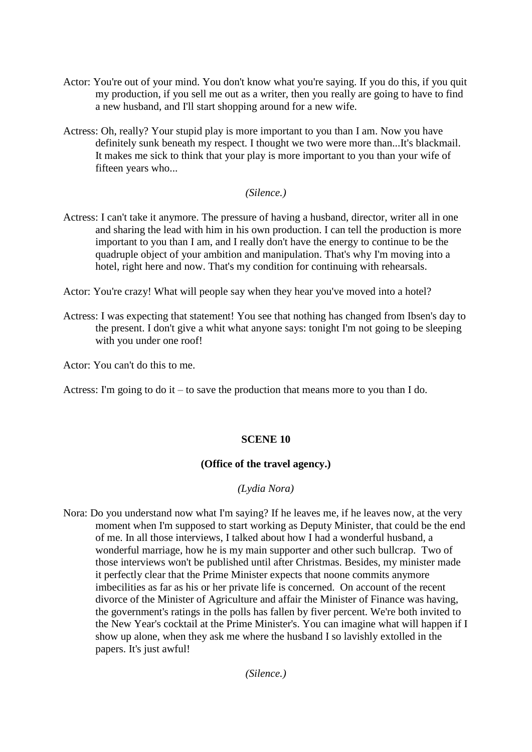- Actor: You're out of your mind. You don't know what you're saying. If you do this, if you quit my production, if you sell me out as a writer, then you really are going to have to find a new husband, and I'll start shopping around for a new wife.
- Actress: Oh, really? Your stupid play is more important to you than I am. Now you have definitely sunk beneath my respect. I thought we two were more than...It's blackmail. It makes me sick to think that your play is more important to you than your wife of fifteen years who...

### *(Silence.)*

Actress: I can't take it anymore. The pressure of having a husband, director, writer all in one and sharing the lead with him in his own production. I can tell the production is more important to you than I am, and I really don't have the energy to continue to be the quadruple object of your ambition and manipulation. That's why I'm moving into a hotel, right here and now. That's my condition for continuing with rehearsals.

Actor: You're crazy! What will people say when they hear you've moved into a hotel?

Actress: I was expecting that statement! You see that nothing has changed from Ibsen's day to the present. I don't give a whit what anyone says: tonight I'm not going to be sleeping with you under one roof!

Actor: You can't do this to me.

Actress: I'm going to do it – to save the production that means more to you than I do.

# **SCENE 10**

# **(Office of the travel agency.)**

*(Lydia Nora)*

Nora: Do you understand now what I'm saying? If he leaves me, if he leaves now, at the very moment when I'm supposed to start working as Deputy Minister, that could be the end of me. In all those interviews, I talked about how I had a wonderful husband, a wonderful marriage, how he is my main supporter and other such bullcrap. Two of those interviews won't be published until after Christmas. Besides, my minister made it perfectly clear that the Prime Minister expects that noone commits anymore imbecilities as far as his or her private life is concerned. On account of the recent divorce of the Minister of Agriculture and affair the Minister of Finance was having, the government's ratings in the polls has fallen by fiver percent. We're both invited to the New Year's cocktail at the Prime Minister's. You can imagine what will happen if I show up alone, when they ask me where the husband I so lavishly extolled in the papers. It's just awful!

*(Silence.)*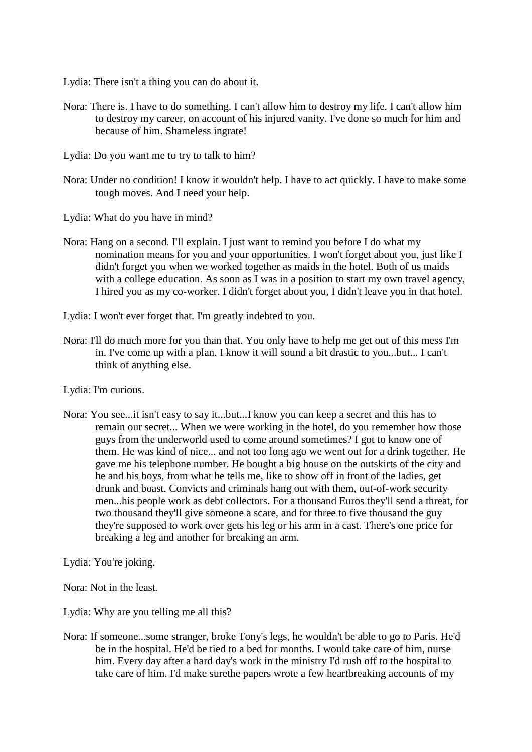Lydia: There isn't a thing you can do about it.

- Nora: There is. I have to do something. I can't allow him to destroy my life. I can't allow him to destroy my career, on account of his injured vanity. I've done so much for him and because of him. Shameless ingrate!
- Lydia: Do you want me to try to talk to him?
- Nora: Under no condition! I know it wouldn't help. I have to act quickly. I have to make some tough moves. And I need your help.
- Lydia: What do you have in mind?
- Nora: Hang on a second. I'll explain. I just want to remind you before I do what my nomination means for you and your opportunities. I won't forget about you, just like I didn't forget you when we worked together as maids in the hotel. Both of us maids with a college education. As soon as I was in a position to start my own travel agency, I hired you as my co-worker. I didn't forget about you, I didn't leave you in that hotel.
- Lydia: I won't ever forget that. I'm greatly indebted to you.
- Nora: I'll do much more for you than that. You only have to help me get out of this mess I'm in. I've come up with a plan. I know it will sound a bit drastic to you...but... I can't think of anything else.

Lydia: I'm curious.

Nora: You see...it isn't easy to say it...but...I know you can keep a secret and this has to remain our secret... When we were working in the hotel, do you remember how those guys from the underworld used to come around sometimes? I got to know one of them. He was kind of nice... and not too long ago we went out for a drink together. He gave me his telephone number. He bought a big house on the outskirts of the city and he and his boys, from what he tells me, like to show off in front of the ladies, get drunk and boast. Convicts and criminals hang out with them, out-of-work security men...his people work as debt collectors. For a thousand Euros they'll send a threat, for two thousand they'll give someone a scare, and for three to five thousand the guy they're supposed to work over gets his leg or his arm in a cast. There's one price for breaking a leg and another for breaking an arm.

Lydia: You're joking.

Nora: Not in the least.

Lydia: Why are you telling me all this?

Nora: If someone...some stranger, broke Tony's legs, he wouldn't be able to go to Paris. He'd be in the hospital. He'd be tied to a bed for months. I would take care of him, nurse him. Every day after a hard day's work in the ministry I'd rush off to the hospital to take care of him. I'd make surethe papers wrote a few heartbreaking accounts of my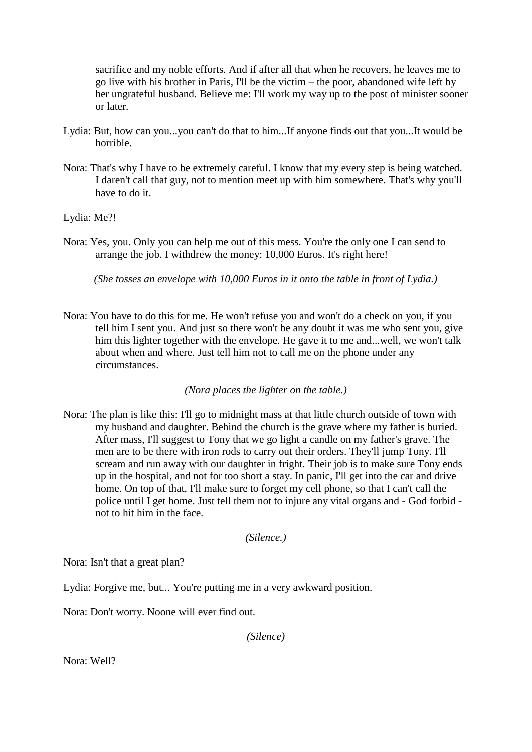sacrifice and my noble efforts. And if after all that when he recovers, he leaves me to go live with his brother in Paris, I'll be the victim – the poor, abandoned wife left by her ungrateful husband. Believe me: I'll work my way up to the post of minister sooner or later.

- Lydia: But, how can you...you can't do that to him...If anyone finds out that you...It would be horrible.
- Nora: That's why I have to be extremely careful. I know that my every step is being watched. I daren't call that guy, not to mention meet up with him somewhere. That's why you'll have to do it.

Lydia: Me?!

Nora: Yes, you. Only you can help me out of this mess. You're the only one I can send to arrange the job. I withdrew the money: 10,000 Euros. It's right here!

*(She tosses an envelope with 10,000 Euros in it onto the table in front of Lydia.)*

Nora: You have to do this for me. He won't refuse you and won't do a check on you, if you tell him I sent you. And just so there won't be any doubt it was me who sent you, give him this lighter together with the envelope. He gave it to me and...well, we won't talk about when and where. Just tell him not to call me on the phone under any circumstances.

*(Nora places the lighter on the table.)*

Nora: The plan is like this: I'll go to midnight mass at that little church outside of town with my husband and daughter. Behind the church is the grave where my father is buried. After mass, I'll suggest to Tony that we go light a candle on my father's grave. The men are to be there with iron rods to carry out their orders. They'll jump Tony. I'll scream and run away with our daughter in fright. Their job is to make sure Tony ends up in the hospital, and not for too short a stay. In panic, I'll get into the car and drive home. On top of that, I'll make sure to forget my cell phone, so that I can't call the police until I get home. Just tell them not to injure any vital organs and - God forbid not to hit him in the face.

*(Silence.)*

Nora: Isn't that a great plan?

Lydia: Forgive me, but... You're putting me in a very awkward position.

Nora: Don't worry. Noone will ever find out.

*(Silence)*

Nora: Well?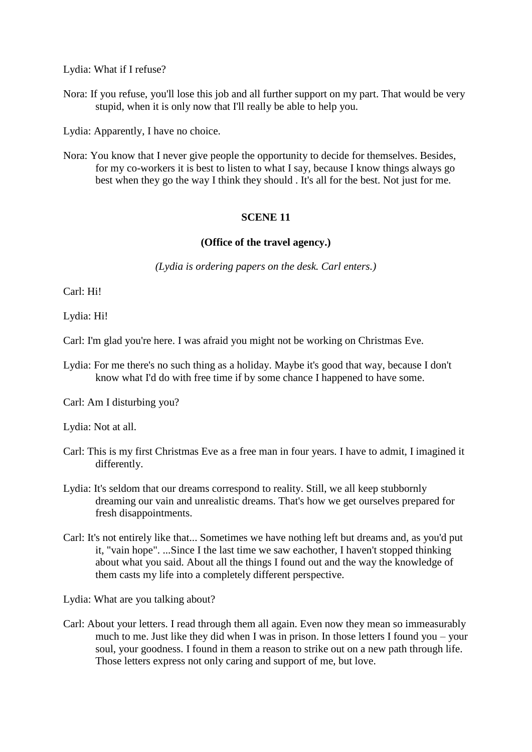Lydia: What if I refuse?

Nora: If you refuse, you'll lose this job and all further support on my part. That would be very stupid, when it is only now that I'll really be able to help you.

Lydia: Apparently, I have no choice.

Nora: You know that I never give people the opportunity to decide for themselves. Besides, for my co-workers it is best to listen to what I say, because I know things always go best when they go the way I think they should . It's all for the best. Not just for me.

# **SCENE 11**

### **(Office of the travel agency.)**

*(Lydia is ordering papers on the desk. Carl enters.)*

Carl: Hi!

Lydia: Hi!

Carl: I'm glad you're here. I was afraid you might not be working on Christmas Eve.

Lydia: For me there's no such thing as a holiday. Maybe it's good that way, because I don't know what I'd do with free time if by some chance I happened to have some.

Carl: Am I disturbing you?

Lydia: Not at all.

- Carl: This is my first Christmas Eve as a free man in four years. I have to admit, I imagined it differently.
- Lydia: It's seldom that our dreams correspond to reality. Still, we all keep stubbornly dreaming our vain and unrealistic dreams. That's how we get ourselves prepared for fresh disappointments.
- Carl: It's not entirely like that... Sometimes we have nothing left but dreams and, as you'd put it, "vain hope". ...Since I the last time we saw eachother, I haven't stopped thinking about what you said. About all the things I found out and the way the knowledge of them casts my life into a completely different perspective.

Lydia: What are you talking about?

Carl: About your letters. I read through them all again. Even now they mean so immeasurably much to me. Just like they did when I was in prison. In those letters I found you – your soul, your goodness. I found in them a reason to strike out on a new path through life. Those letters express not only caring and support of me, but love.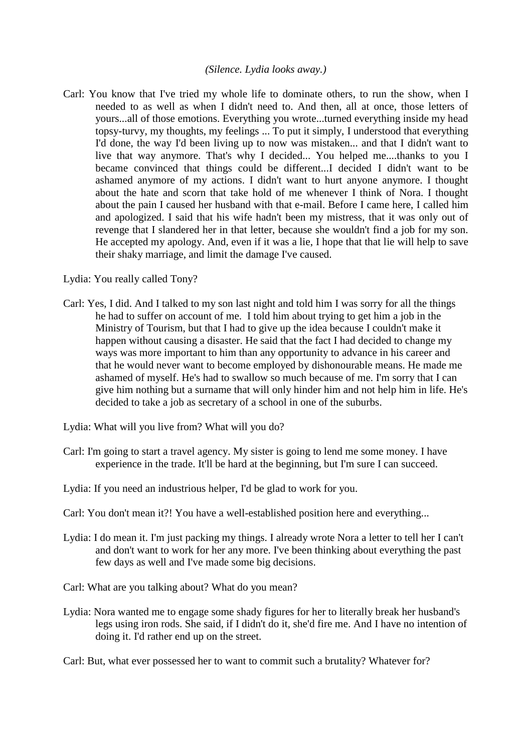### *(Silence. Lydia looks away.)*

Carl: You know that I've tried my whole life to dominate others, to run the show, when I needed to as well as when I didn't need to. And then, all at once, those letters of yours...all of those emotions. Everything you wrote...turned everything inside my head topsy-turvy, my thoughts, my feelings ... To put it simply, I understood that everything I'd done, the way I'd been living up to now was mistaken... and that I didn't want to live that way anymore. That's why I decided... You helped me....thanks to you I became convinced that things could be different...I decided I didn't want to be ashamed anymore of my actions. I didn't want to hurt anyone anymore. I thought about the hate and scorn that take hold of me whenever I think of Nora. I thought about the pain I caused her husband with that e-mail. Before I came here, I called him and apologized. I said that his wife hadn't been my mistress, that it was only out of revenge that I slandered her in that letter, because she wouldn't find a job for my son. He accepted my apology. And, even if it was a lie, I hope that that lie will help to save their shaky marriage, and limit the damage I've caused.

Lydia: You really called Tony?

- Carl: Yes, I did. And I talked to my son last night and told him I was sorry for all the things he had to suffer on account of me. I told him about trying to get him a job in the Ministry of Tourism, but that I had to give up the idea because I couldn't make it happen without causing a disaster. He said that the fact I had decided to change my ways was more important to him than any opportunity to advance in his career and that he would never want to become employed by dishonourable means. He made me ashamed of myself. He's had to swallow so much because of me. I'm sorry that I can give him nothing but a surname that will only hinder him and not help him in life. He's decided to take a job as secretary of a school in one of the suburbs.
- Lydia: What will you live from? What will you do?
- Carl: I'm going to start a travel agency. My sister is going to lend me some money. I have experience in the trade. It'll be hard at the beginning, but I'm sure I can succeed.
- Lydia: If you need an industrious helper, I'd be glad to work for you.
- Carl: You don't mean it?! You have a well-established position here and everything...
- Lydia: I do mean it. I'm just packing my things. I already wrote Nora a letter to tell her I can't and don't want to work for her any more. I've been thinking about everything the past few days as well and I've made some big decisions.
- Carl: What are you talking about? What do you mean?
- Lydia: Nora wanted me to engage some shady figures for her to literally break her husband's legs using iron rods. She said, if I didn't do it, she'd fire me. And I have no intention of doing it. I'd rather end up on the street.

Carl: But, what ever possessed her to want to commit such a brutality? Whatever for?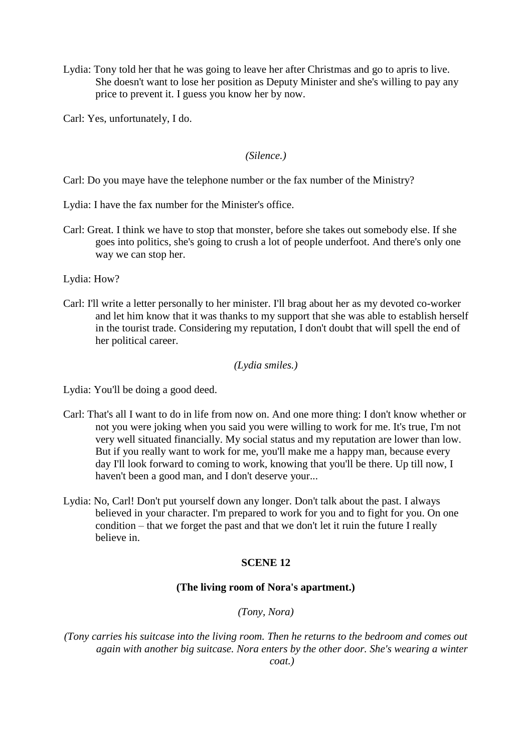Lydia: Tony told her that he was going to leave her after Christmas and go to apris to live. She doesn't want to lose her position as Deputy Minister and she's willing to pay any price to prevent it. I guess you know her by now.

Carl: Yes, unfortunately, I do.

### *(Silence.)*

Carl: Do you maye have the telephone number or the fax number of the Ministry?

Lydia: I have the fax number for the Minister's office.

Carl: Great. I think we have to stop that monster, before she takes out somebody else. If she goes into politics, she's going to crush a lot of people underfoot. And there's only one way we can stop her.

Lydia: How?

Carl: I'll write a letter personally to her minister. I'll brag about her as my devoted co-worker and let him know that it was thanks to my support that she was able to establish herself in the tourist trade. Considering my reputation, I don't doubt that will spell the end of her political career.

*(Lydia smiles.)*

Lydia: You'll be doing a good deed.

- Carl: That's all I want to do in life from now on. And one more thing: I don't know whether or not you were joking when you said you were willing to work for me. It's true, I'm not very well situated financially. My social status and my reputation are lower than low. But if you really want to work for me, you'll make me a happy man, because every day I'll look forward to coming to work, knowing that you'll be there. Up till now, I haven't been a good man, and I don't deserve your...
- Lydia: No, Carl! Don't put yourself down any longer. Don't talk about the past. I always believed in your character. I'm prepared to work for you and to fight for you. On one condition – that we forget the past and that we don't let it ruin the future I really believe in.

# **SCENE 12**

### **(The living room of Nora's apartment.)**

*(Tony, Nora)*

*(Tony carries his suitcase into the living room. Then he returns to the bedroom and comes out again with another big suitcase. Nora enters by the other door. She's wearing a winter coat.)*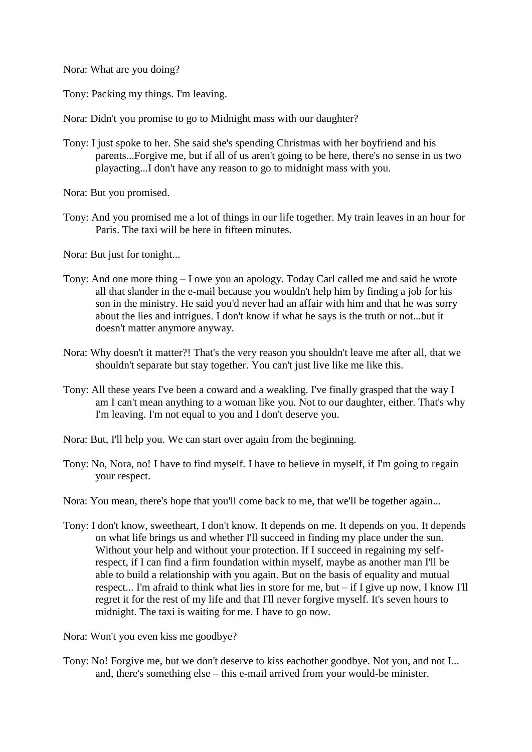Nora: What are you doing?

Tony: Packing my things. I'm leaving.

Nora: Didn't you promise to go to Midnight mass with our daughter?

Tony: I just spoke to her. She said she's spending Christmas with her boyfriend and his parents...Forgive me, but if all of us aren't going to be here, there's no sense in us two playacting...I don't have any reason to go to midnight mass with you.

Nora: But you promised.

Tony: And you promised me a lot of things in our life together. My train leaves in an hour for Paris. The taxi will be here in fifteen minutes.

Nora: But just for tonight...

- Tony: And one more thing I owe you an apology. Today Carl called me and said he wrote all that slander in the e-mail because you wouldn't help him by finding a job for his son in the ministry. He said you'd never had an affair with him and that he was sorry about the lies and intrigues. I don't know if what he says is the truth or not...but it doesn't matter anymore anyway.
- Nora: Why doesn't it matter?! That's the very reason you shouldn't leave me after all, that we shouldn't separate but stay together. You can't just live like me like this.
- Tony: All these years I've been a coward and a weakling. I've finally grasped that the way I am I can't mean anything to a woman like you. Not to our daughter, either. That's why I'm leaving. I'm not equal to you and I don't deserve you.

Nora: But, I'll help you. We can start over again from the beginning.

Tony: No, Nora, no! I have to find myself. I have to believe in myself, if I'm going to regain your respect.

Nora: You mean, there's hope that you'll come back to me, that we'll be together again...

Tony: I don't know, sweetheart, I don't know. It depends on me. It depends on you. It depends on what life brings us and whether I'll succeed in finding my place under the sun. Without your help and without your protection. If I succeed in regaining my selfrespect, if I can find a firm foundation within myself, maybe as another man I'll be able to build a relationship with you again. But on the basis of equality and mutual respect... I'm afraid to think what lies in store for me, but – if I give up now, I know I'll regret it for the rest of my life and that I'll never forgive myself. It's seven hours to midnight. The taxi is waiting for me. I have to go now.

Nora: Won't you even kiss me goodbye?

Tony: No! Forgive me, but we don't deserve to kiss eachother goodbye. Not you, and not I... and, there's something else – this e-mail arrived from your would-be minister.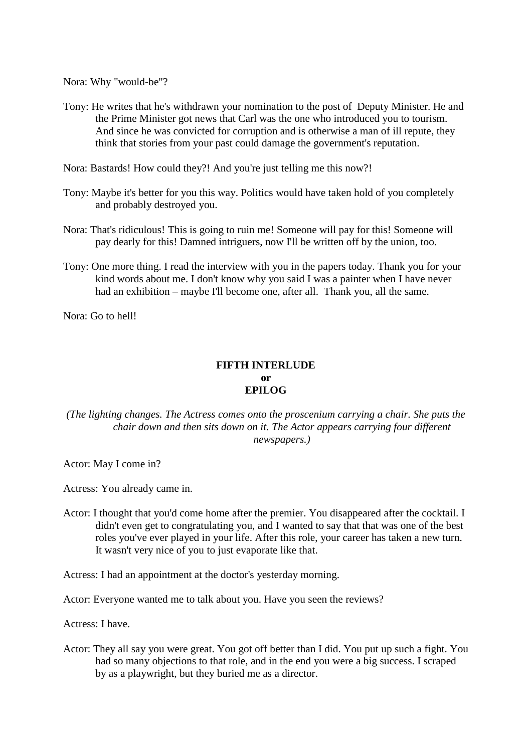Nora: Why "would-be"?

Tony: He writes that he's withdrawn your nomination to the post of Deputy Minister. He and the Prime Minister got news that Carl was the one who introduced you to tourism. And since he was convicted for corruption and is otherwise a man of ill repute, they think that stories from your past could damage the government's reputation.

Nora: Bastards! How could they?! And you're just telling me this now?!

- Tony: Maybe it's better for you this way. Politics would have taken hold of you completely and probably destroyed you.
- Nora: That's ridiculous! This is going to ruin me! Someone will pay for this! Someone will pay dearly for this! Damned intriguers, now I'll be written off by the union, too.
- Tony: One more thing. I read the interview with you in the papers today. Thank you for your kind words about me. I don't know why you said I was a painter when I have never had an exhibition – maybe I'll become one, after all. Thank you, all the same.

Nora: Go to hell!

# **FIFTH INTERLUDE or EPILOG**

*(The lighting changes. The Actress comes onto the proscenium carrying a chair. She puts the chair down and then sits down on it. The Actor appears carrying four different newspapers.)*

Actor: May I come in?

Actress: You already came in.

Actor: I thought that you'd come home after the premier. You disappeared after the cocktail. I didn't even get to congratulating you, and I wanted to say that that was one of the best roles you've ever played in your life. After this role, your career has taken a new turn. It wasn't very nice of you to just evaporate like that.

Actress: I had an appointment at the doctor's yesterday morning.

Actor: Everyone wanted me to talk about you. Have you seen the reviews?

Actress: I have.

Actor: They all say you were great. You got off better than I did. You put up such a fight. You had so many objections to that role, and in the end you were a big success. I scraped by as a playwright, but they buried me as a director.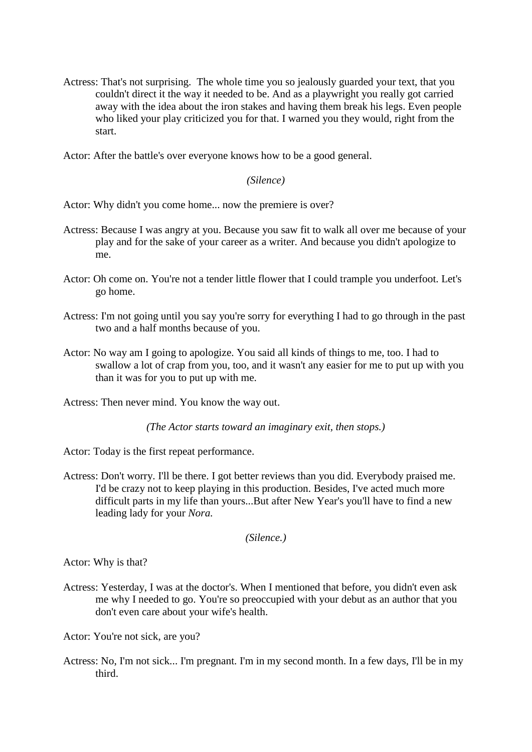Actress: That's not surprising. The whole time you so jealously guarded your text, that you couldn't direct it the way it needed to be. And as a playwright you really got carried away with the idea about the iron stakes and having them break his legs. Even people who liked your play criticized you for that. I warned you they would, right from the start.

Actor: After the battle's over everyone knows how to be a good general.

*(Silence)*

Actor: Why didn't you come home... now the premiere is over?

- Actress: Because I was angry at you. Because you saw fit to walk all over me because of your play and for the sake of your career as a writer. And because you didn't apologize to me.
- Actor: Oh come on. You're not a tender little flower that I could trample you underfoot. Let's go home.
- Actress: I'm not going until you say you're sorry for everything I had to go through in the past two and a half months because of you.
- Actor: No way am I going to apologize. You said all kinds of things to me, too. I had to swallow a lot of crap from you, too, and it wasn't any easier for me to put up with you than it was for you to put up with me.

Actress: Then never mind. You know the way out.

*(The Actor starts toward an imaginary exit, then stops.)*

Actor: Today is the first repeat performance.

Actress: Don't worry. I'll be there. I got better reviews than you did. Everybody praised me. I'd be crazy not to keep playing in this production. Besides, I've acted much more difficult parts in my life than yours...But after New Year's you'll have to find a new leading lady for your *Nora.*

*(Silence.)*

Actor: Why is that?

Actress: Yesterday, I was at the doctor's. When I mentioned that before, you didn't even ask me why I needed to go. You're so preoccupied with your debut as an author that you don't even care about your wife's health.

Actor: You're not sick, are you?

Actress: No, I'm not sick... I'm pregnant. I'm in my second month. In a few days, I'll be in my third.